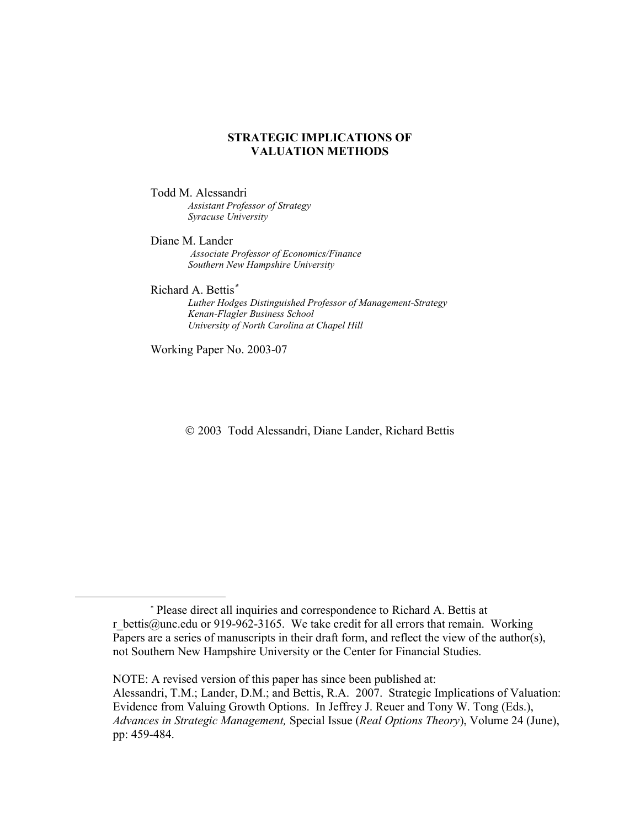## **STRATEGIC IMPLICATIONS OF VALUATION METHODS**

### Todd M. Alessandri *Assistant Professor of Strategy Syracuse University*

Diane M. Lander *Associate Professor of Economics/Finance Southern New Hampshire University*

Richard A. Bettis

 $\overline{a}$ 

 *Luther Hodges Distinguished Professor of Management-Strategy Kenan-Flagler Business School University of North Carolina at Chapel Hill*

Working Paper No. 2003-07

2003 Todd Alessandri, Diane Lander, Richard Bettis

 Please direct all inquiries and correspondence to Richard A. Bettis at r bettis@unc.edu or 919-962-3165. We take credit for all errors that remain. Working Papers are a series of manuscripts in their draft form, and reflect the view of the author(s), not Southern New Hampshire University or the Center for Financial Studies.

NOTE: A revised version of this paper has since been published at: Alessandri, T.M.; Lander, D.M.; and Bettis, R.A. 2007. Strategic Implications of Valuation: Evidence from Valuing Growth Options. In Jeffrey J. Reuer and Tony W. Tong (Eds.), *Advances in Strategic Management,* Special Issue (*Real Options Theory*), Volume 24 (June), pp: 459-484.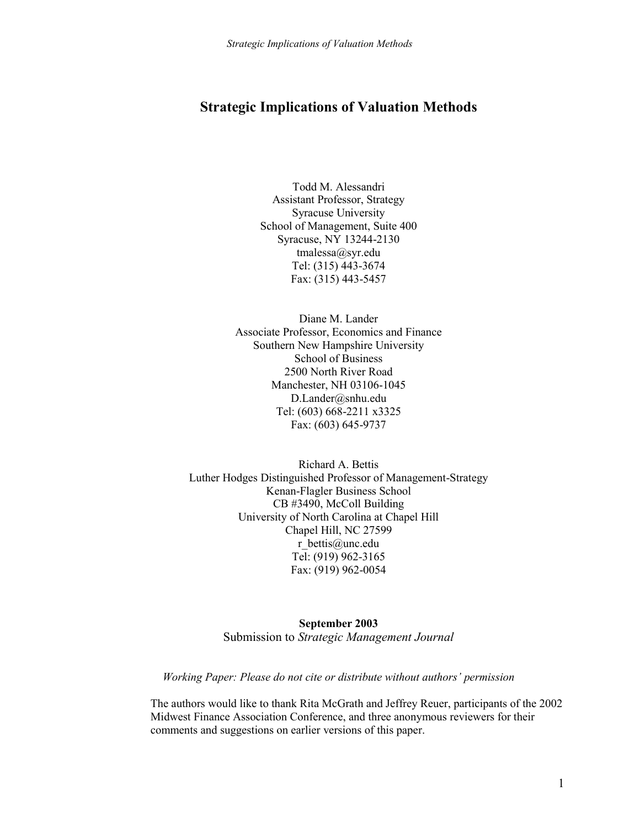# **Strategic Implications of Valuation Methods**

Todd M. Alessandri Assistant Professor, Strategy Syracuse University School of Management, Suite 400 Syracuse, NY 13244-2130 tmalessa@syr.edu Tel: (315) 443-3674 Fax: (315) 443-5457

Diane M. Lander Associate Professor, Economics and Finance Southern New Hampshire University School of Business 2500 North River Road Manchester, NH 03106-1045 D.Lander@snhu.edu Tel: (603) 668-2211 x3325 Fax: (603) 645-9737

Richard A. Bettis Luther Hodges Distinguished Professor of Management-Strategy Kenan-Flagler Business School CB #3490, McColl Building University of North Carolina at Chapel Hill Chapel Hill, NC 27599 r\_bettis@unc.edu Tel: (919) 962-3165 Fax: (919) 962-0054

> **September 2003**  Submission to *Strategic Management Journal*

*Working Paper: Please do not cite or distribute without authors' permission*

The authors would like to thank Rita McGrath and Jeffrey Reuer, participants of the 2002 Midwest Finance Association Conference, and three anonymous reviewers for their comments and suggestions on earlier versions of this paper.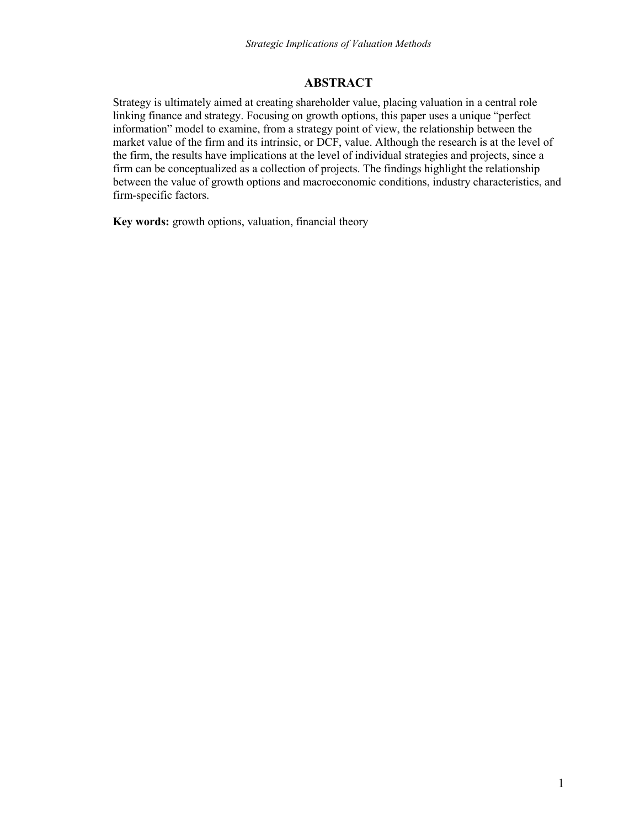# **ABSTRACT**

Strategy is ultimately aimed at creating shareholder value, placing valuation in a central role linking finance and strategy. Focusing on growth options, this paper uses a unique "perfect" information" model to examine, from a strategy point of view, the relationship between the market value of the firm and its intrinsic, or DCF, value. Although the research is at the level of the firm, the results have implications at the level of individual strategies and projects, since a firm can be conceptualized as a collection of projects. The findings highlight the relationship between the value of growth options and macroeconomic conditions, industry characteristics, and firm-specific factors.

**Key words:** growth options, valuation, financial theory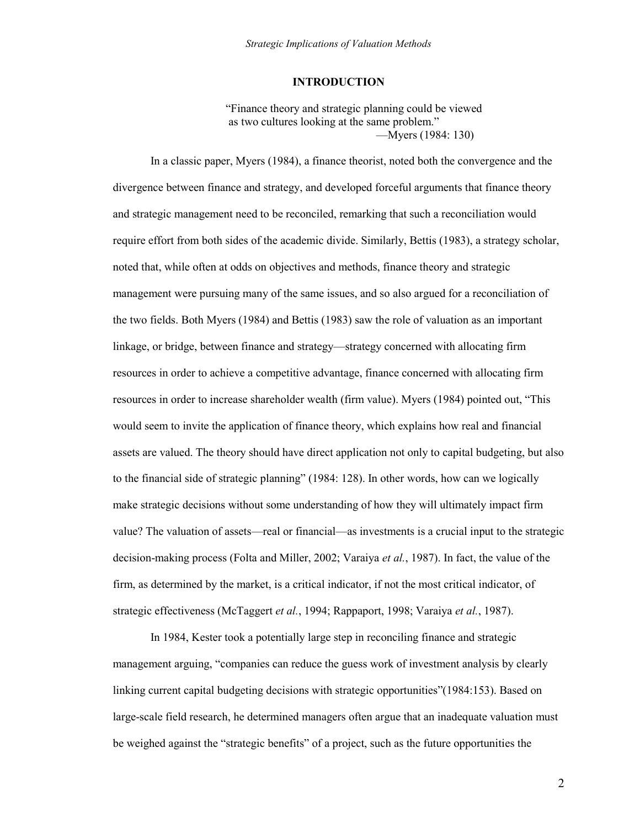## **INTRODUCTION**

―Finance theory and strategic planning could be viewed as two cultures looking at the same problem." —Myers (1984: 130)

In a classic paper, Myers (1984), a finance theorist, noted both the convergence and the divergence between finance and strategy, and developed forceful arguments that finance theory and strategic management need to be reconciled, remarking that such a reconciliation would require effort from both sides of the academic divide. Similarly, Bettis (1983), a strategy scholar, noted that, while often at odds on objectives and methods, finance theory and strategic management were pursuing many of the same issues, and so also argued for a reconciliation of the two fields. Both Myers (1984) and Bettis (1983) saw the role of valuation as an important linkage, or bridge, between finance and strategy—strategy concerned with allocating firm resources in order to achieve a competitive advantage, finance concerned with allocating firm resources in order to increase shareholder wealth (firm value). Myers (1984) pointed out, "This would seem to invite the application of finance theory, which explains how real and financial assets are valued. The theory should have direct application not only to capital budgeting, but also to the financial side of strategic planning" (1984: 128). In other words, how can we logically make strategic decisions without some understanding of how they will ultimately impact firm value? The valuation of assets—real or financial—as investments is a crucial input to the strategic decision-making process (Folta and Miller, 2002; Varaiya *et al.*, 1987). In fact, the value of the firm, as determined by the market, is a critical indicator, if not the most critical indicator, of strategic effectiveness (McTaggert *et al.*, 1994; Rappaport, 1998; Varaiya *et al.*, 1987).

In 1984, Kester took a potentially large step in reconciling finance and strategic management arguing, "companies can reduce the guess work of investment analysis by clearly linking current capital budgeting decisions with strategic opportunities"(1984:153). Based on large-scale field research, he determined managers often argue that an inadequate valuation must be weighed against the "strategic benefits" of a project, such as the future opportunities the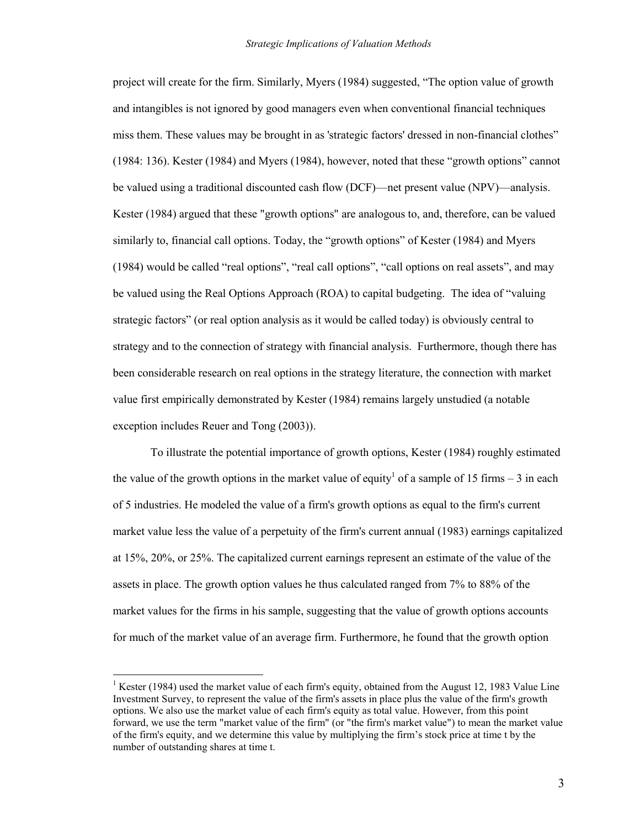project will create for the firm. Similarly, Myers (1984) suggested, "The option value of growth and intangibles is not ignored by good managers even when conventional financial techniques miss them. These values may be brought in as 'strategic factors' dressed in non-financial clothes"  $(1984: 136)$ . Kester  $(1984)$  and Myers  $(1984)$ , however, noted that these "growth options" cannot be valued using a traditional discounted cash flow (DCF)—net present value (NPV)—analysis. Kester (1984) argued that these "growth options" are analogous to, and, therefore, can be valued similarly to, financial call options. Today, the "growth options" of Kester (1984) and Myers (1984) would be called "real options", "real call options", "call options on real assets", and may be valued using the Real Options Approach (ROA) to capital budgeting. The idea of "valuing strategic factors" (or real option analysis as it would be called today) is obviously central to strategy and to the connection of strategy with financial analysis. Furthermore, though there has been considerable research on real options in the strategy literature, the connection with market value first empirically demonstrated by Kester (1984) remains largely unstudied (a notable exception includes Reuer and Tong (2003)).

To illustrate the potential importance of growth options, Kester (1984) roughly estimated the value of the growth options in the market value of equity<sup>1</sup> of a sample of 15 firms – 3 in each of 5 industries. He modeled the value of a firm's growth options as equal to the firm's current market value less the value of a perpetuity of the firm's current annual (1983) earnings capitalized at 15%, 20%, or 25%. The capitalized current earnings represent an estimate of the value of the assets in place. The growth option values he thus calculated ranged from 7% to 88% of the market values for the firms in his sample, suggesting that the value of growth options accounts for much of the market value of an average firm. Furthermore, he found that the growth option

 $\overline{a}$ 

<sup>&</sup>lt;sup>1</sup> Kester (1984) used the market value of each firm's equity, obtained from the August 12, 1983 Value Line Investment Survey, to represent the value of the firm's assets in place plus the value of the firm's growth options. We also use the market value of each firm's equity as total value. However, from this point forward, we use the term "market value of the firm" (or "the firm's market value") to mean the market value of the firm's equity, and we determine this value by multiplying the firm's stock price at time t by the number of outstanding shares at time t.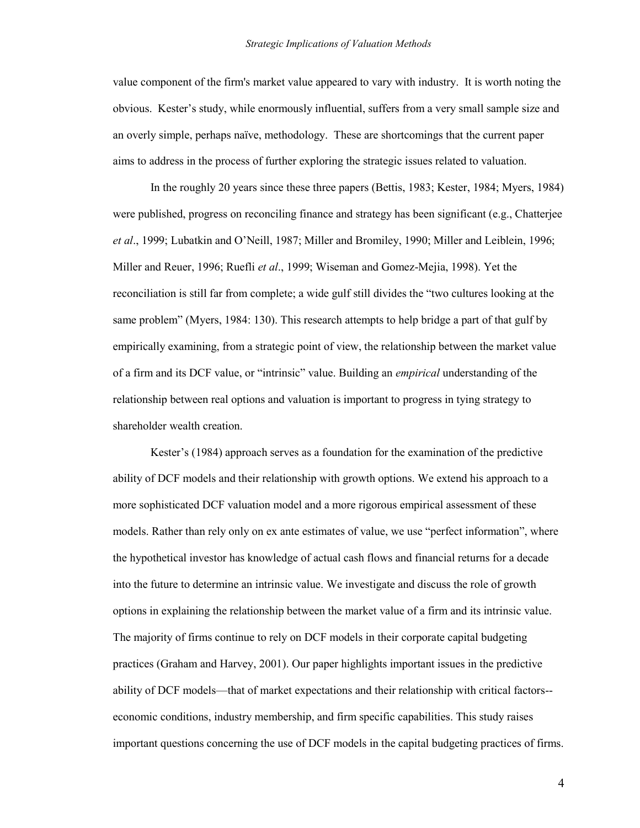value component of the firm's market value appeared to vary with industry. It is worth noting the obvious. Kester's study, while enormously influential, suffers from a very small sample size and an overly simple, perhaps naïve, methodology. These are shortcomings that the current paper aims to address in the process of further exploring the strategic issues related to valuation.

In the roughly 20 years since these three papers (Bettis, 1983; Kester, 1984; Myers, 1984) were published, progress on reconciling finance and strategy has been significant (e.g., Chatterjee *et al*., 1999; Lubatkin and O'Neill, 1987; Miller and Bromiley, 1990; Miller and Leiblein, 1996; Miller and Reuer, 1996; Ruefli *et al*., 1999; Wiseman and Gomez-Mejia, 1998). Yet the reconciliation is still far from complete; a wide gulf still divides the "two cultures looking at the same problem" (Myers, 1984: 130). This research attempts to help bridge a part of that gulf by empirically examining, from a strategic point of view, the relationship between the market value of a firm and its DCF value, or "intrinsic" value. Building an *empirical* understanding of the relationship between real options and valuation is important to progress in tying strategy to shareholder wealth creation.

Kester's (1984) approach serves as a foundation for the examination of the predictive ability of DCF models and their relationship with growth options. We extend his approach to a more sophisticated DCF valuation model and a more rigorous empirical assessment of these models. Rather than rely only on ex ante estimates of value, we use "perfect information", where the hypothetical investor has knowledge of actual cash flows and financial returns for a decade into the future to determine an intrinsic value. We investigate and discuss the role of growth options in explaining the relationship between the market value of a firm and its intrinsic value. The majority of firms continue to rely on DCF models in their corporate capital budgeting practices (Graham and Harvey, 2001). Our paper highlights important issues in the predictive ability of DCF models—that of market expectations and their relationship with critical factors- economic conditions, industry membership, and firm specific capabilities. This study raises important questions concerning the use of DCF models in the capital budgeting practices of firms.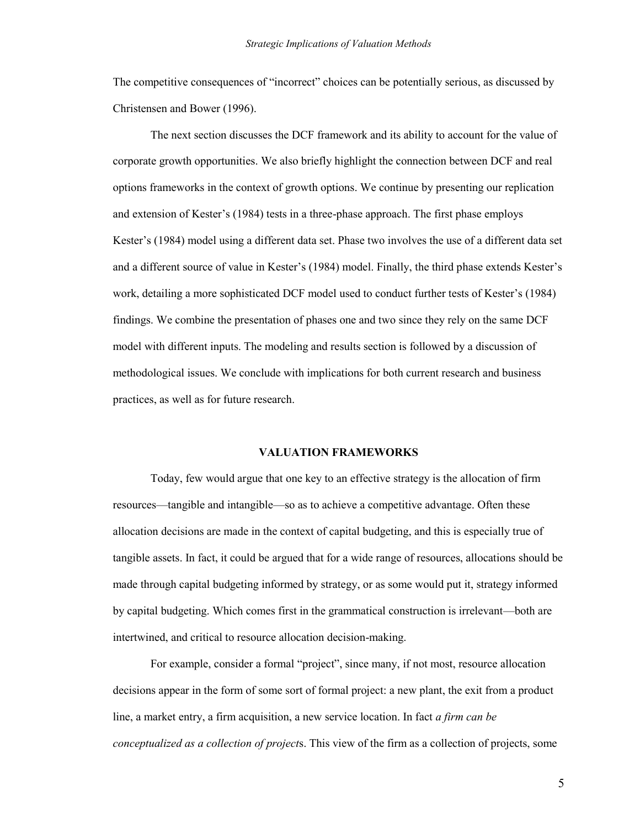The competitive consequences of "incorrect" choices can be potentially serious, as discussed by Christensen and Bower (1996).

The next section discusses the DCF framework and its ability to account for the value of corporate growth opportunities. We also briefly highlight the connection between DCF and real options frameworks in the context of growth options. We continue by presenting our replication and extension of Kester's (1984) tests in a three-phase approach. The first phase employs Kester's (1984) model using a different data set. Phase two involves the use of a different data set and a different source of value in Kester's (1984) model. Finally, the third phase extends Kester's work, detailing a more sophisticated DCF model used to conduct further tests of Kester's (1984) findings. We combine the presentation of phases one and two since they rely on the same DCF model with different inputs. The modeling and results section is followed by a discussion of methodological issues. We conclude with implications for both current research and business practices, as well as for future research.

#### **VALUATION FRAMEWORKS**

Today, few would argue that one key to an effective strategy is the allocation of firm resources—tangible and intangible—so as to achieve a competitive advantage. Often these allocation decisions are made in the context of capital budgeting, and this is especially true of tangible assets. In fact, it could be argued that for a wide range of resources, allocations should be made through capital budgeting informed by strategy, or as some would put it, strategy informed by capital budgeting. Which comes first in the grammatical construction is irrelevant—both are intertwined, and critical to resource allocation decision-making.

For example, consider a formal "project", since many, if not most, resource allocation decisions appear in the form of some sort of formal project: a new plant, the exit from a product line, a market entry, a firm acquisition, a new service location. In fact *a firm can be conceptualized as a collection of project*s. This view of the firm as a collection of projects, some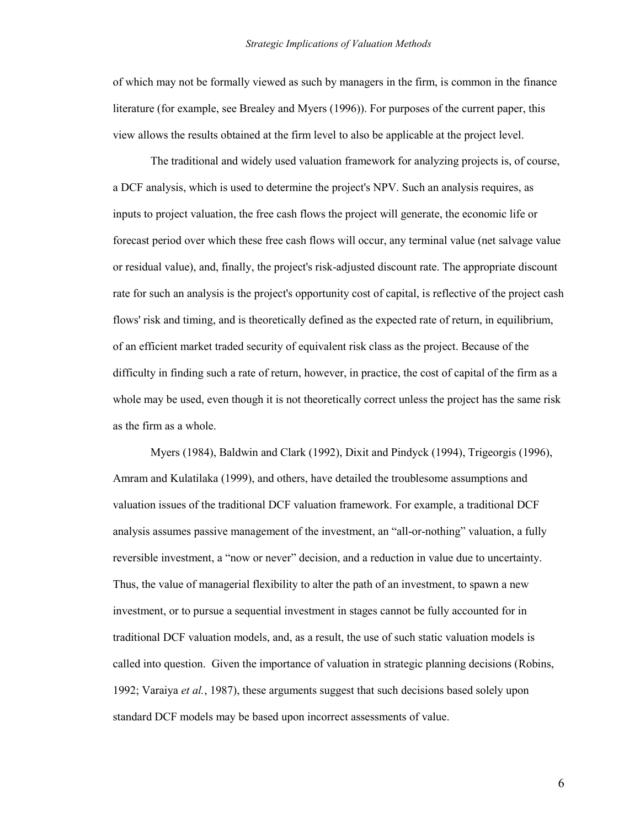of which may not be formally viewed as such by managers in the firm, is common in the finance literature (for example, see Brealey and Myers (1996)). For purposes of the current paper, this view allows the results obtained at the firm level to also be applicable at the project level.

The traditional and widely used valuation framework for analyzing projects is, of course, a DCF analysis, which is used to determine the project's NPV. Such an analysis requires, as inputs to project valuation, the free cash flows the project will generate, the economic life or forecast period over which these free cash flows will occur, any terminal value (net salvage value or residual value), and, finally, the project's risk-adjusted discount rate. The appropriate discount rate for such an analysis is the project's opportunity cost of capital, is reflective of the project cash flows' risk and timing, and is theoretically defined as the expected rate of return, in equilibrium, of an efficient market traded security of equivalent risk class as the project. Because of the difficulty in finding such a rate of return, however, in practice, the cost of capital of the firm as a whole may be used, even though it is not theoretically correct unless the project has the same risk as the firm as a whole.

Myers (1984), Baldwin and Clark (1992), Dixit and Pindyck (1994), Trigeorgis (1996), Amram and Kulatilaka (1999), and others, have detailed the troublesome assumptions and valuation issues of the traditional DCF valuation framework. For example, a traditional DCF analysis assumes passive management of the investment, an "all-or-nothing" valuation, a fully reversible investment, a "now or never" decision, and a reduction in value due to uncertainty. Thus, the value of managerial flexibility to alter the path of an investment, to spawn a new investment, or to pursue a sequential investment in stages cannot be fully accounted for in traditional DCF valuation models, and, as a result, the use of such static valuation models is called into question. Given the importance of valuation in strategic planning decisions (Robins, 1992; Varaiya *et al.*, 1987), these arguments suggest that such decisions based solely upon standard DCF models may be based upon incorrect assessments of value.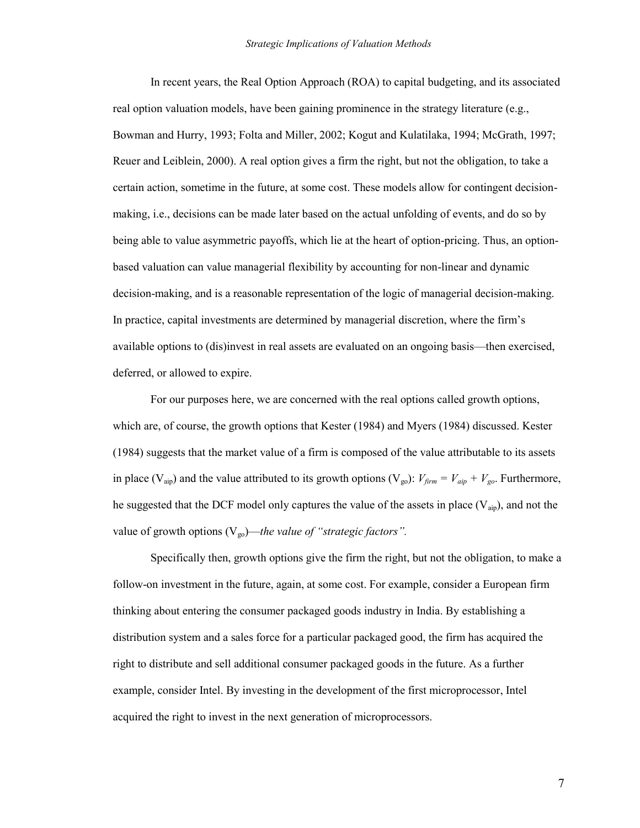In recent years, the Real Option Approach (ROA) to capital budgeting, and its associated real option valuation models, have been gaining prominence in the strategy literature (e.g., Bowman and Hurry, 1993; Folta and Miller, 2002; Kogut and Kulatilaka, 1994; McGrath, 1997; Reuer and Leiblein, 2000). A real option gives a firm the right, but not the obligation, to take a certain action, sometime in the future, at some cost. These models allow for contingent decisionmaking, i.e., decisions can be made later based on the actual unfolding of events, and do so by being able to value asymmetric payoffs, which lie at the heart of option-pricing. Thus, an optionbased valuation can value managerial flexibility by accounting for non-linear and dynamic decision-making, and is a reasonable representation of the logic of managerial decision-making. In practice, capital investments are determined by managerial discretion, where the firm's available options to (dis)invest in real assets are evaluated on an ongoing basis—then exercised, deferred, or allowed to expire.

For our purposes here, we are concerned with the real options called growth options, which are, of course, the growth options that Kester (1984) and Myers (1984) discussed. Kester (1984) suggests that the market value of a firm is composed of the value attributable to its assets in place (V<sub>aip</sub>) and the value attributed to its growth options (V<sub>go</sub>):  $V_{\text{firm}} = V_{\text{aip}} + V_{\text{go}}$ . Furthermore, he suggested that the DCF model only captures the value of the assets in place  $(V_{aip})$ , and not the value of growth options  $(V_{\text{go}})$ —*the value of "strategic factors"*.

Specifically then, growth options give the firm the right, but not the obligation, to make a follow-on investment in the future, again, at some cost. For example, consider a European firm thinking about entering the consumer packaged goods industry in India. By establishing a distribution system and a sales force for a particular packaged good, the firm has acquired the right to distribute and sell additional consumer packaged goods in the future. As a further example, consider Intel. By investing in the development of the first microprocessor, Intel acquired the right to invest in the next generation of microprocessors.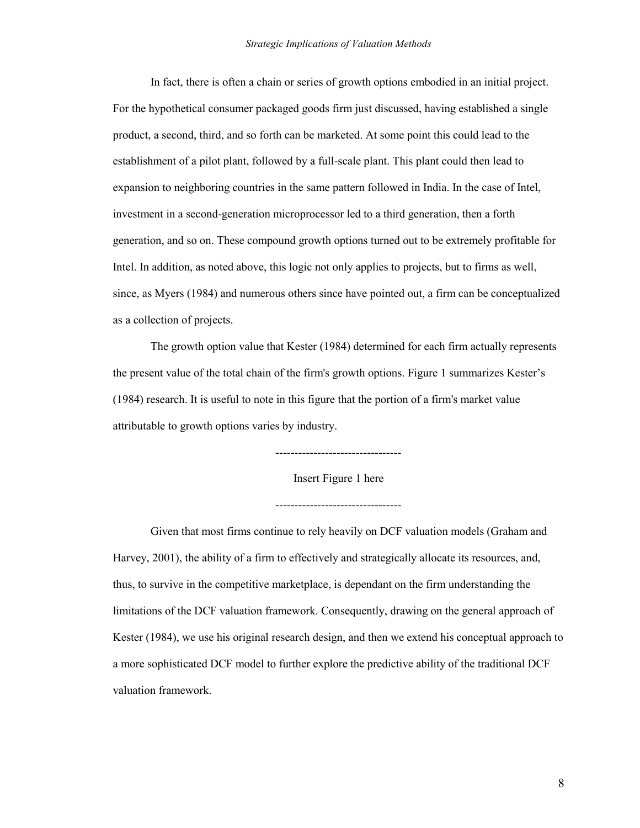In fact, there is often a chain or series of growth options embodied in an initial project. For the hypothetical consumer packaged goods firm just discussed, having established a single product, a second, third, and so forth can be marketed. At some point this could lead to the establishment of a pilot plant, followed by a full-scale plant. This plant could then lead to expansion to neighboring countries in the same pattern followed in India. In the case of Intel, investment in a second-generation microprocessor led to a third generation, then a forth generation, and so on. These compound growth options turned out to be extremely profitable for Intel. In addition, as noted above, this logic not only applies to projects, but to firms as well, since, as Myers (1984) and numerous others since have pointed out, a firm can be conceptualized as a collection of projects.

The growth option value that Kester (1984) determined for each firm actually represents the present value of the total chain of the firm's growth options. Figure 1 summarizes Kester's (1984) research. It is useful to note in this figure that the portion of a firm's market value attributable to growth options varies by industry.

---------------------------------

Insert Figure 1 here

---------------------------------

Given that most firms continue to rely heavily on DCF valuation models (Graham and Harvey, 2001), the ability of a firm to effectively and strategically allocate its resources, and, thus, to survive in the competitive marketplace, is dependant on the firm understanding the limitations of the DCF valuation framework. Consequently, drawing on the general approach of Kester (1984), we use his original research design, and then we extend his conceptual approach to a more sophisticated DCF model to further explore the predictive ability of the traditional DCF valuation framework.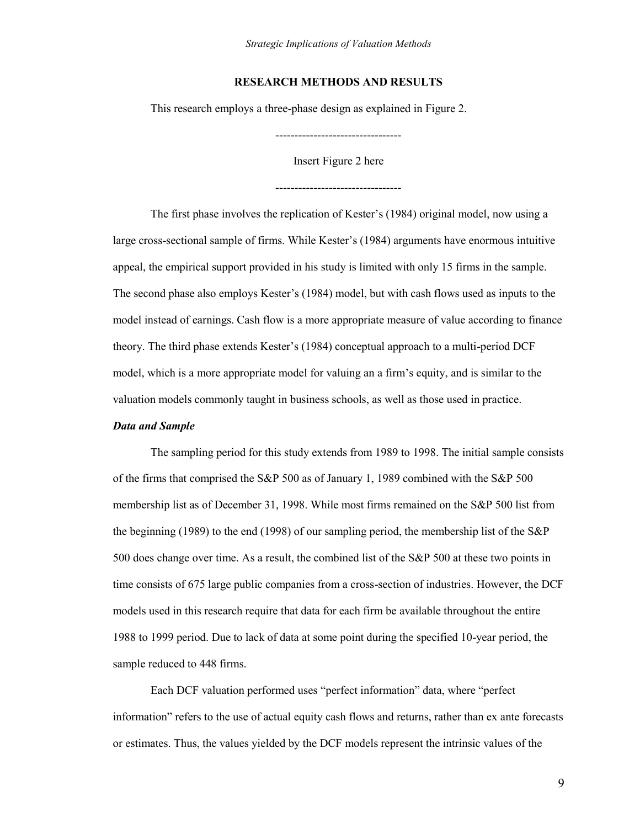## **RESEARCH METHODS AND RESULTS**

This research employs a three-phase design as explained in Figure 2.

---------------------------------

Insert Figure 2 here

---------------------------------

The first phase involves the replication of Kester's (1984) original model, now using a large cross-sectional sample of firms. While Kester's (1984) arguments have enormous intuitive appeal, the empirical support provided in his study is limited with only 15 firms in the sample. The second phase also employs Kester's (1984) model, but with cash flows used as inputs to the model instead of earnings. Cash flow is a more appropriate measure of value according to finance theory. The third phase extends Kester's (1984) conceptual approach to a multi-period DCF model, which is a more appropriate model for valuing an a firm's equity, and is similar to the valuation models commonly taught in business schools, as well as those used in practice.

## *Data and Sample*

 The sampling period for this study extends from 1989 to 1998. The initial sample consists of the firms that comprised the S&P 500 as of January 1, 1989 combined with the S&P 500 membership list as of December 31, 1998. While most firms remained on the S&P 500 list from the beginning (1989) to the end (1998) of our sampling period, the membership list of the S&P 500 does change over time. As a result, the combined list of the S&P 500 at these two points in time consists of 675 large public companies from a cross-section of industries. However, the DCF models used in this research require that data for each firm be available throughout the entire 1988 to 1999 period. Due to lack of data at some point during the specified 10-year period, the sample reduced to 448 firms.

Each DCF valuation performed uses "perfect information" data, where "perfect information" refers to the use of actual equity cash flows and returns, rather than ex ante forecasts or estimates. Thus, the values yielded by the DCF models represent the intrinsic values of the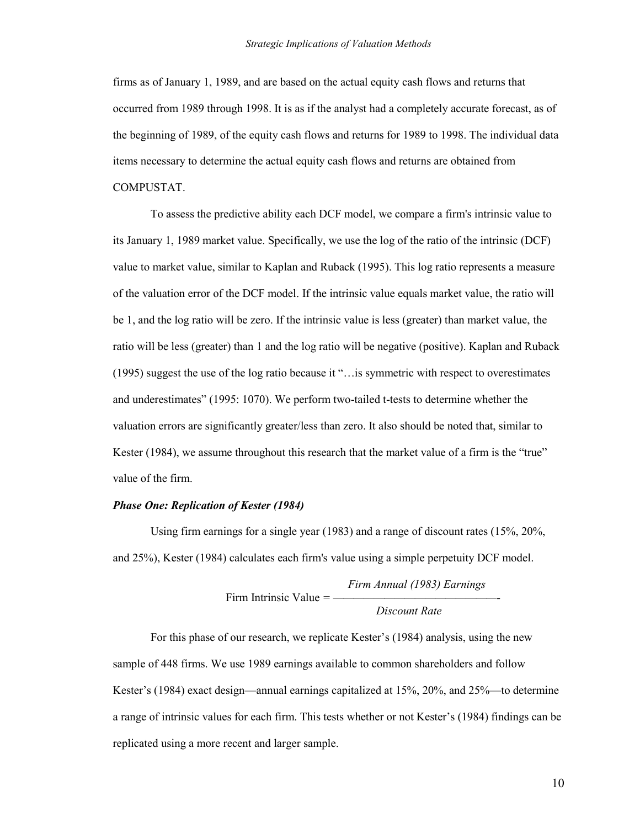firms as of January 1, 1989, and are based on the actual equity cash flows and returns that occurred from 1989 through 1998. It is as if the analyst had a completely accurate forecast, as of the beginning of 1989, of the equity cash flows and returns for 1989 to 1998. The individual data items necessary to determine the actual equity cash flows and returns are obtained from COMPUSTAT.

To assess the predictive ability each DCF model, we compare a firm's intrinsic value to its January 1, 1989 market value. Specifically, we use the log of the ratio of the intrinsic (DCF) value to market value, similar to Kaplan and Ruback (1995). This log ratio represents a measure of the valuation error of the DCF model. If the intrinsic value equals market value, the ratio will be 1, and the log ratio will be zero. If the intrinsic value is less (greater) than market value, the ratio will be less (greater) than 1 and the log ratio will be negative (positive). Kaplan and Ruback (1995) suggest the use of the log ratio because it ―…is symmetric with respect to overestimates and underestimates" (1995: 1070). We perform two-tailed t-tests to determine whether the valuation errors are significantly greater/less than zero. It also should be noted that, similar to Kester  $(1984)$ , we assume throughout this research that the market value of a firm is the "true" value of the firm.

## *Phase One: Replication of Kester (1984)*

 Using firm earnings for a single year (1983) and a range of discount rates (15%, 20%, and 25%), Kester (1984) calculates each firm's value using a simple perpetuity DCF model.

> *Firm Annual (1983) Earnings*  Firm Intrinsic Value = — *Discount Rate*

For this phase of our research, we replicate Kester's (1984) analysis, using the new sample of 448 firms. We use 1989 earnings available to common shareholders and follow Kester's (1984) exact design—annual earnings capitalized at 15%, 20%, and 25%—to determine a range of intrinsic values for each firm. This tests whether or not Kester's (1984) findings can be replicated using a more recent and larger sample.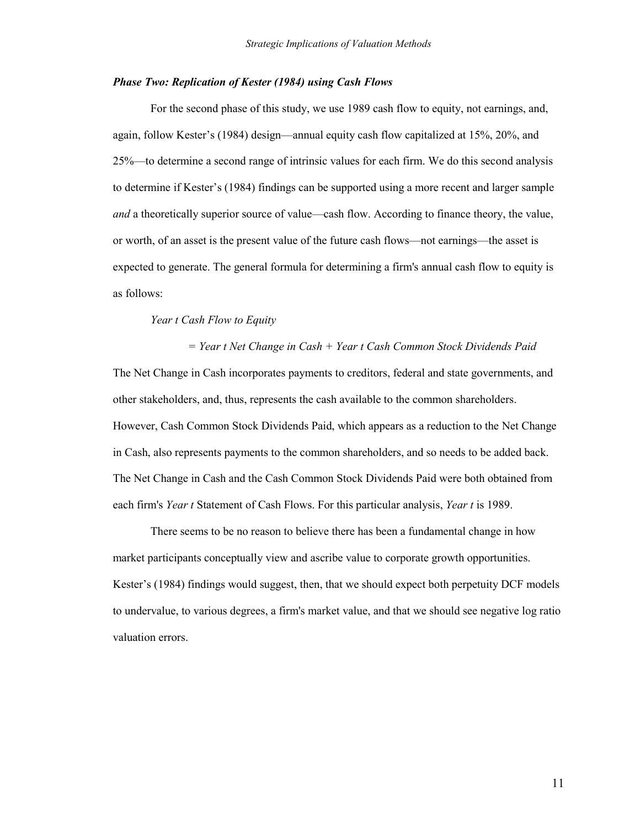## *Phase Two: Replication of Kester (1984) using Cash Flows*

For the second phase of this study, we use 1989 cash flow to equity, not earnings, and, again, follow Kester's (1984) design—annual equity cash flow capitalized at 15%, 20%, and 25%—to determine a second range of intrinsic values for each firm. We do this second analysis to determine if Kester's (1984) findings can be supported using a more recent and larger sample *and* a theoretically superior source of value—cash flow. According to finance theory, the value, or worth, of an asset is the present value of the future cash flows—not earnings—the asset is expected to generate. The general formula for determining a firm's annual cash flow to equity is as follows:

#### *Year t Cash Flow to Equity*

*= Year t Net Change in Cash + Year t Cash Common Stock Dividends Paid*  The Net Change in Cash incorporates payments to creditors, federal and state governments, and other stakeholders, and, thus, represents the cash available to the common shareholders. However, Cash Common Stock Dividends Paid, which appears as a reduction to the Net Change in Cash, also represents payments to the common shareholders, and so needs to be added back. The Net Change in Cash and the Cash Common Stock Dividends Paid were both obtained from each firm's *Year t* Statement of Cash Flows. For this particular analysis, *Year t* is 1989.

There seems to be no reason to believe there has been a fundamental change in how market participants conceptually view and ascribe value to corporate growth opportunities. Kester's (1984) findings would suggest, then, that we should expect both perpetuity DCF models to undervalue, to various degrees, a firm's market value, and that we should see negative log ratio valuation errors.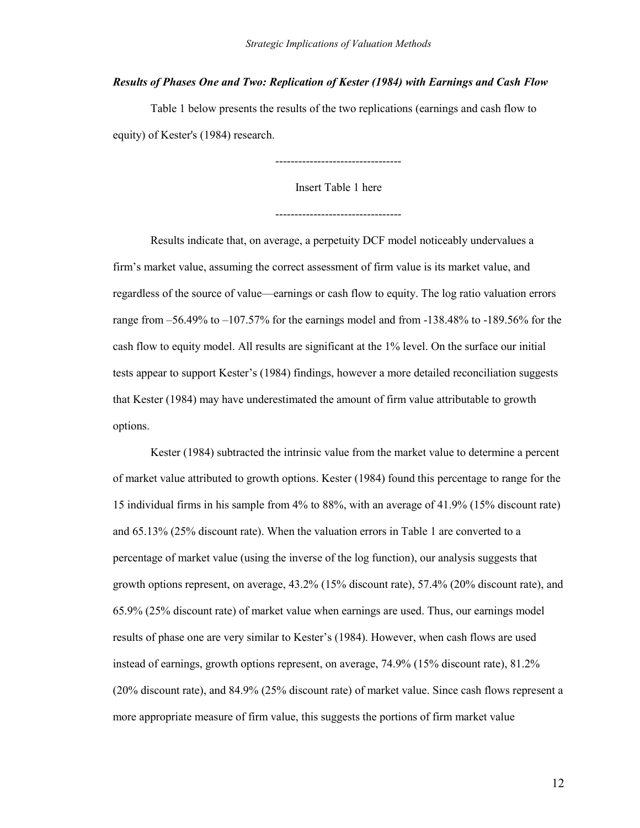## *Results of Phases One and Two: Replication of Kester (1984) with Earnings and Cash Flow*

Table 1 below presents the results of the two replications (earnings and cash flow to equity) of Kester's (1984) research.

---------------------------------

Insert Table 1 here

 Results indicate that, on average, a perpetuity DCF model noticeably undervalues a firm's market value, assuming the correct assessment of firm value is its market value, and regardless of the source of value—earnings or cash flow to equity. The log ratio valuation errors range from  $-56.49\%$  to  $-107.57\%$  for the earnings model and from  $-138.48\%$  to  $-189.56\%$  for the cash flow to equity model. All results are significant at the 1% level. On the surface our initial tests appear to support Kester's (1984) findings, however a more detailed reconciliation suggests that Kester (1984) may have underestimated the amount of firm value attributable to growth options.

Kester (1984) subtracted the intrinsic value from the market value to determine a percent of market value attributed to growth options. Kester (1984) found this percentage to range for the 15 individual firms in his sample from 4% to 88%, with an average of 41.9% (15% discount rate) and 65.13% (25% discount rate). When the valuation errors in Table 1 are converted to a percentage of market value (using the inverse of the log function), our analysis suggests that growth options represent, on average, 43.2% (15% discount rate), 57.4% (20% discount rate), and 65.9% (25% discount rate) of market value when earnings are used. Thus, our earnings model results of phase one are very similar to Kester's (1984). However, when cash flows are used instead of earnings, growth options represent, on average, 74.9% (15% discount rate), 81.2% (20% discount rate), and 84.9% (25% discount rate) of market value. Since cash flows represent a more appropriate measure of firm value, this suggests the portions of firm market value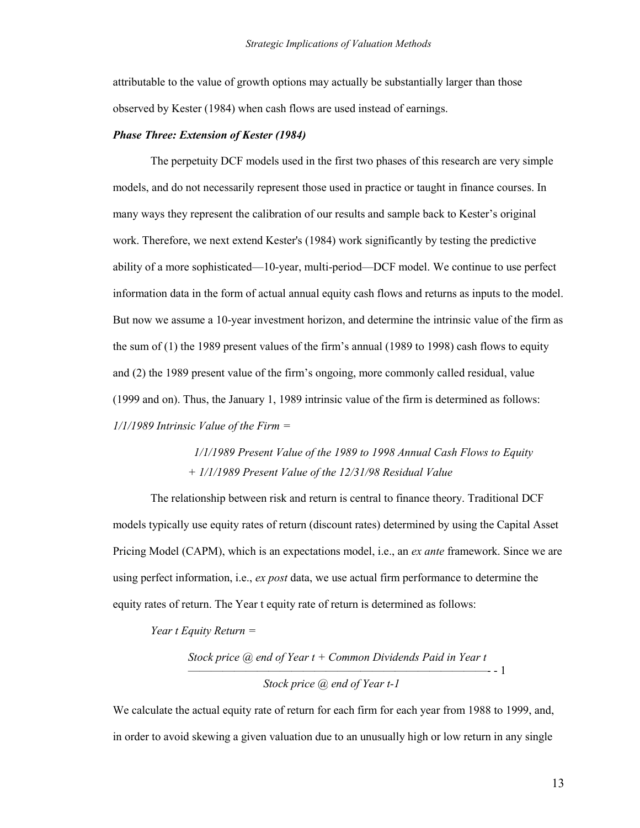attributable to the value of growth options may actually be substantially larger than those observed by Kester (1984) when cash flows are used instead of earnings.

### *Phase Three: Extension of Kester (1984)*

 The perpetuity DCF models used in the first two phases of this research are very simple models, and do not necessarily represent those used in practice or taught in finance courses. In many ways they represent the calibration of our results and sample back to Kester's original work. Therefore, we next extend Kester's (1984) work significantly by testing the predictive ability of a more sophisticated—10-year, multi-period—DCF model. We continue to use perfect information data in the form of actual annual equity cash flows and returns as inputs to the model. But now we assume a 10-year investment horizon, and determine the intrinsic value of the firm as the sum of (1) the 1989 present values of the firm's annual (1989 to 1998) cash flows to equity and (2) the 1989 present value of the firm's ongoing, more commonly called residual, value (1999 and on). Thus, the January 1, 1989 intrinsic value of the firm is determined as follows: *1/1/1989 Intrinsic Value of the Firm =* 

> *1/1/1989 Present Value of the 1989 to 1998 Annual Cash Flows to Equity + 1/1/1989 Present Value of the 12/31/98 Residual Value*

The relationship between risk and return is central to finance theory. Traditional DCF models typically use equity rates of return (discount rates) determined by using the Capital Asset Pricing Model (CAPM), which is an expectations model, i.e., an *ex ante* framework. Since we are using perfect information, i.e., *ex post* data, we use actual firm performance to determine the equity rates of return. The Year t equity rate of return is determined as follows:

*Year t Equity Return =* 

*Stock price @ end of Year t + Common Dividends Paid in Year t*  ——————————————————————————- - 1 *Stock price @ end of Year t-1* 

We calculate the actual equity rate of return for each firm for each year from 1988 to 1999, and, in order to avoid skewing a given valuation due to an unusually high or low return in any single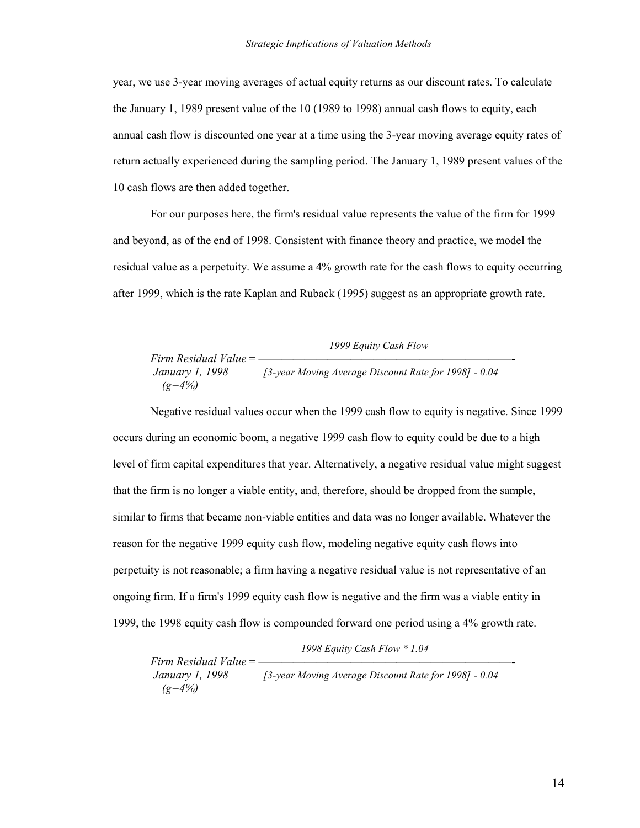year, we use 3-year moving averages of actual equity returns as our discount rates. To calculate the January 1, 1989 present value of the 10 (1989 to 1998) annual cash flows to equity, each annual cash flow is discounted one year at a time using the 3-year moving average equity rates of return actually experienced during the sampling period. The January 1, 1989 present values of the 10 cash flows are then added together.

For our purposes here, the firm's residual value represents the value of the firm for 1999 and beyond, as of the end of 1998. Consistent with finance theory and practice, we model the residual value as a perpetuity. We assume a 4% growth rate for the cash flows to equity occurring after 1999, which is the rate Kaplan and Ruback (1995) suggest as an appropriate growth rate.

*1999 Equity Cash Flow Firm Residual Value* = —  *January 1, 1998 [3-year Moving Average Discount Rate for 1998] - 0.04 (g=4%)* 

Negative residual values occur when the 1999 cash flow to equity is negative. Since 1999 occurs during an economic boom, a negative 1999 cash flow to equity could be due to a high level of firm capital expenditures that year. Alternatively, a negative residual value might suggest that the firm is no longer a viable entity, and, therefore, should be dropped from the sample, similar to firms that became non-viable entities and data was no longer available. Whatever the reason for the negative 1999 equity cash flow, modeling negative equity cash flows into perpetuity is not reasonable; a firm having a negative residual value is not representative of an ongoing firm. If a firm's 1999 equity cash flow is negative and the firm was a viable entity in 1999, the 1998 equity cash flow is compounded forward one period using a 4% growth rate.

*1998 Equity Cash Flow \* 1.04*

*Firm Residual Value* =  $-$ <br>*January 1, 1998 January 1, 1998 [3-year Moving Average Discount Rate for 1998] - 0.04 (g=4%)*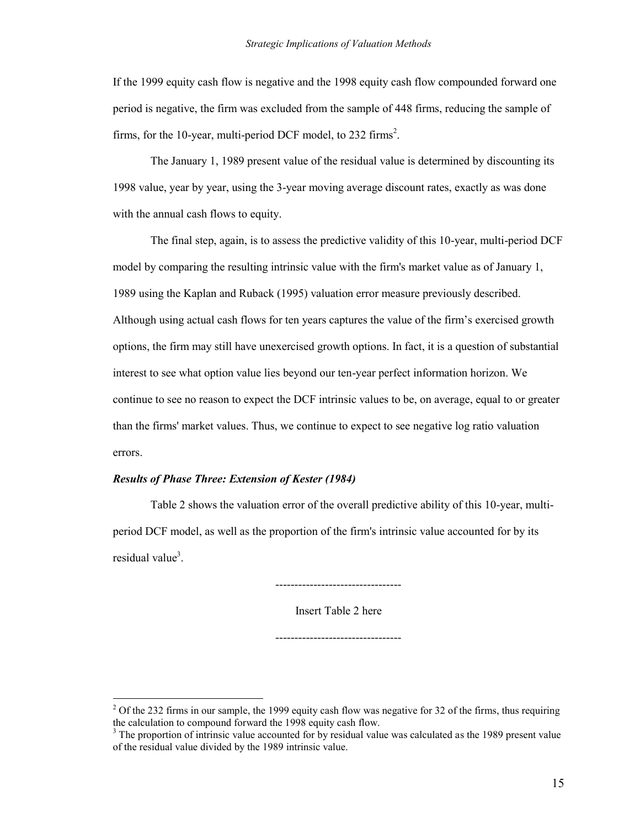If the 1999 equity cash flow is negative and the 1998 equity cash flow compounded forward one period is negative, the firm was excluded from the sample of 448 firms, reducing the sample of firms, for the 10-year, multi-period DCF model, to 232 firms<sup>2</sup>.

The January 1, 1989 present value of the residual value is determined by discounting its 1998 value, year by year, using the 3-year moving average discount rates, exactly as was done with the annual cash flows to equity.

The final step, again, is to assess the predictive validity of this 10-year, multi-period DCF model by comparing the resulting intrinsic value with the firm's market value as of January 1, 1989 using the Kaplan and Ruback (1995) valuation error measure previously described. Although using actual cash flows for ten years captures the value of the firm's exercised growth options, the firm may still have unexercised growth options. In fact, it is a question of substantial interest to see what option value lies beyond our ten-year perfect information horizon. We continue to see no reason to expect the DCF intrinsic values to be, on average, equal to or greater than the firms' market values. Thus, we continue to expect to see negative log ratio valuation errors.

## *Results of Phase Three: Extension of Kester (1984)*

 $\overline{a}$ 

Table 2 shows the valuation error of the overall predictive ability of this 10-year, multiperiod DCF model, as well as the proportion of the firm's intrinsic value accounted for by its residual value<sup>3</sup>.

---------------------------------

Insert Table 2 here

---------------------------------

 $2^2$  Of the 232 firms in our sample, the 1999 equity cash flow was negative for 32 of the firms, thus requiring the calculation to compound forward the 1998 equity cash flow.

<sup>&</sup>lt;sup>3</sup> The proportion of intrinsic value accounted for by residual value was calculated as the 1989 present value of the residual value divided by the 1989 intrinsic value.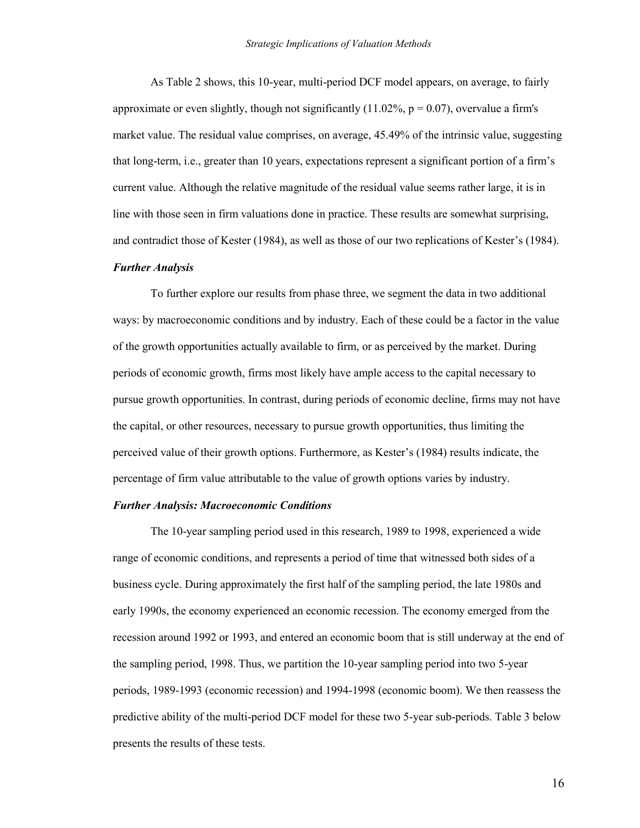As Table 2 shows, this 10-year, multi-period DCF model appears, on average, to fairly approximate or even slightly, though not significantly  $(11.02\% , p = 0.07)$ , overvalue a firm's market value. The residual value comprises, on average, 45.49% of the intrinsic value, suggesting that long-term, i.e., greater than 10 years, expectations represent a significant portion of a firm's current value. Although the relative magnitude of the residual value seems rather large, it is in line with those seen in firm valuations done in practice. These results are somewhat surprising, and contradict those of Kester (1984), as well as those of our two replications of Kester's (1984).

## *Further Analysis*

To further explore our results from phase three, we segment the data in two additional ways: by macroeconomic conditions and by industry. Each of these could be a factor in the value of the growth opportunities actually available to firm, or as perceived by the market. During periods of economic growth, firms most likely have ample access to the capital necessary to pursue growth opportunities. In contrast, during periods of economic decline, firms may not have the capital, or other resources, necessary to pursue growth opportunities, thus limiting the perceived value of their growth options. Furthermore, as Kester's (1984) results indicate, the percentage of firm value attributable to the value of growth options varies by industry.

## *Further Analysis: Macroeconomic Conditions*

The 10-year sampling period used in this research, 1989 to 1998, experienced a wide range of economic conditions, and represents a period of time that witnessed both sides of a business cycle. During approximately the first half of the sampling period, the late 1980s and early 1990s, the economy experienced an economic recession. The economy emerged from the recession around 1992 or 1993, and entered an economic boom that is still underway at the end of the sampling period, 1998. Thus, we partition the 10-year sampling period into two 5-year periods, 1989-1993 (economic recession) and 1994-1998 (economic boom). We then reassess the predictive ability of the multi-period DCF model for these two 5-year sub-periods. Table 3 below presents the results of these tests.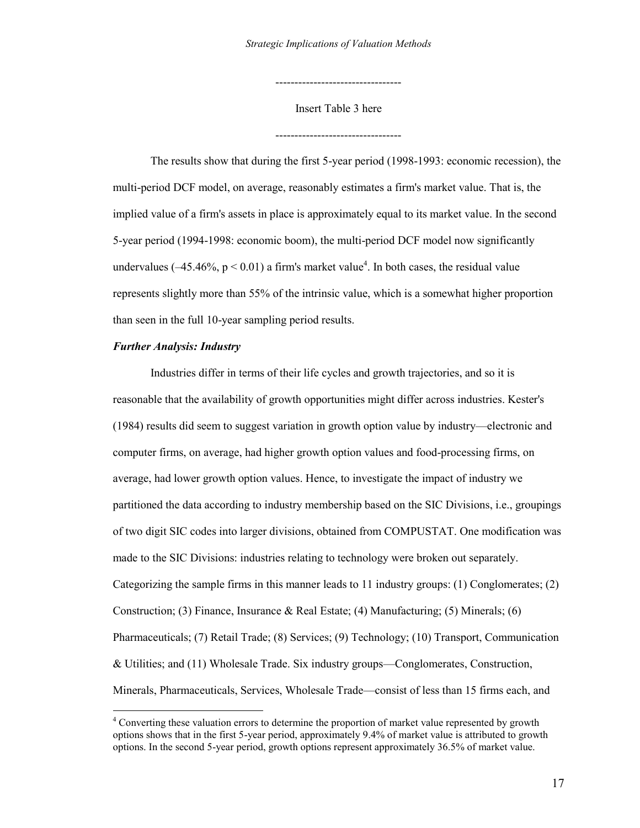Insert Table 3 here

---------------------------------

---------------------------------

The results show that during the first 5-year period (1998-1993: economic recession), the multi-period DCF model, on average, reasonably estimates a firm's market value. That is, the implied value of a firm's assets in place is approximately equal to its market value. In the second 5-year period (1994-1998: economic boom), the multi-period DCF model now significantly undervalues ( $-45.46\%$ ,  $p < 0.01$ ) a firm's market value<sup>4</sup>. In both cases, the residual value represents slightly more than 55% of the intrinsic value, which is a somewhat higher proportion than seen in the full 10-year sampling period results.

## *Further Analysis: Industry*

 $\overline{a}$ 

Industries differ in terms of their life cycles and growth trajectories, and so it is reasonable that the availability of growth opportunities might differ across industries. Kester's (1984) results did seem to suggest variation in growth option value by industry—electronic and computer firms, on average, had higher growth option values and food-processing firms, on average, had lower growth option values. Hence, to investigate the impact of industry we partitioned the data according to industry membership based on the SIC Divisions, i.e., groupings of two digit SIC codes into larger divisions, obtained from COMPUSTAT. One modification was made to the SIC Divisions: industries relating to technology were broken out separately. Categorizing the sample firms in this manner leads to 11 industry groups: (1) Conglomerates; (2) Construction; (3) Finance, Insurance & Real Estate; (4) Manufacturing; (5) Minerals; (6) Pharmaceuticals; (7) Retail Trade; (8) Services; (9) Technology; (10) Transport, Communication & Utilities; and (11) Wholesale Trade. Six industry groups—Conglomerates, Construction, Minerals, Pharmaceuticals, Services, Wholesale Trade—consist of less than 15 firms each, and

<sup>&</sup>lt;sup>4</sup> Converting these valuation errors to determine the proportion of market value represented by growth options shows that in the first 5-year period, approximately 9.4% of market value is attributed to growth options. In the second 5-year period, growth options represent approximately 36.5% of market value.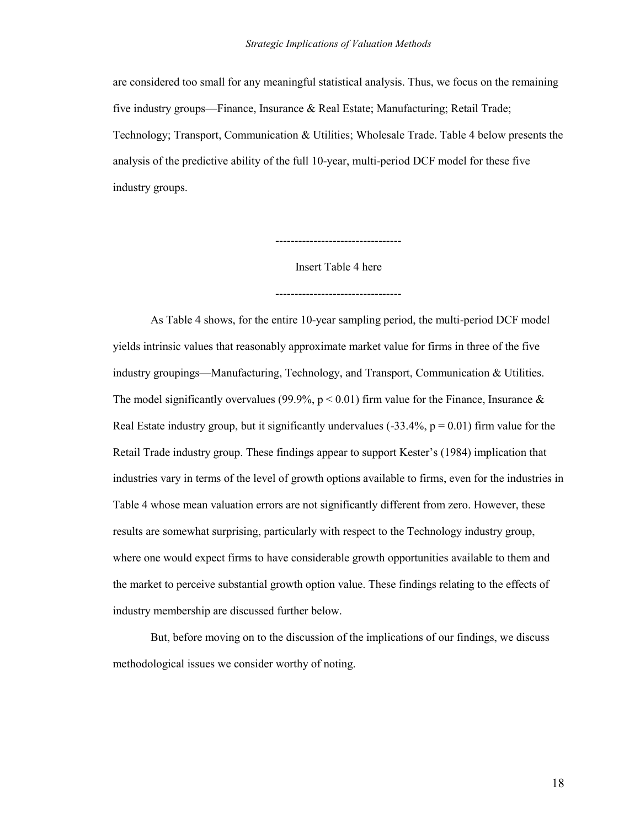are considered too small for any meaningful statistical analysis. Thus, we focus on the remaining five industry groups—Finance, Insurance & Real Estate; Manufacturing; Retail Trade; Technology; Transport, Communication & Utilities; Wholesale Trade. Table 4 below presents the analysis of the predictive ability of the full 10-year, multi-period DCF model for these five industry groups.

Insert Table 4 here

---------------------------------

---------------------------------

 As Table 4 shows, for the entire 10-year sampling period, the multi-period DCF model yields intrinsic values that reasonably approximate market value for firms in three of the five industry groupings—Manufacturing, Technology, and Transport, Communication & Utilities. The model significantly overvalues (99.9%,  $p < 0.01$ ) firm value for the Finance, Insurance & Real Estate industry group, but it significantly undervalues  $(-33.4\%, p = 0.01)$  firm value for the Retail Trade industry group. These findings appear to support Kester's (1984) implication that industries vary in terms of the level of growth options available to firms, even for the industries in Table 4 whose mean valuation errors are not significantly different from zero. However, these results are somewhat surprising, particularly with respect to the Technology industry group, where one would expect firms to have considerable growth opportunities available to them and the market to perceive substantial growth option value. These findings relating to the effects of industry membership are discussed further below.

 But, before moving on to the discussion of the implications of our findings, we discuss methodological issues we consider worthy of noting.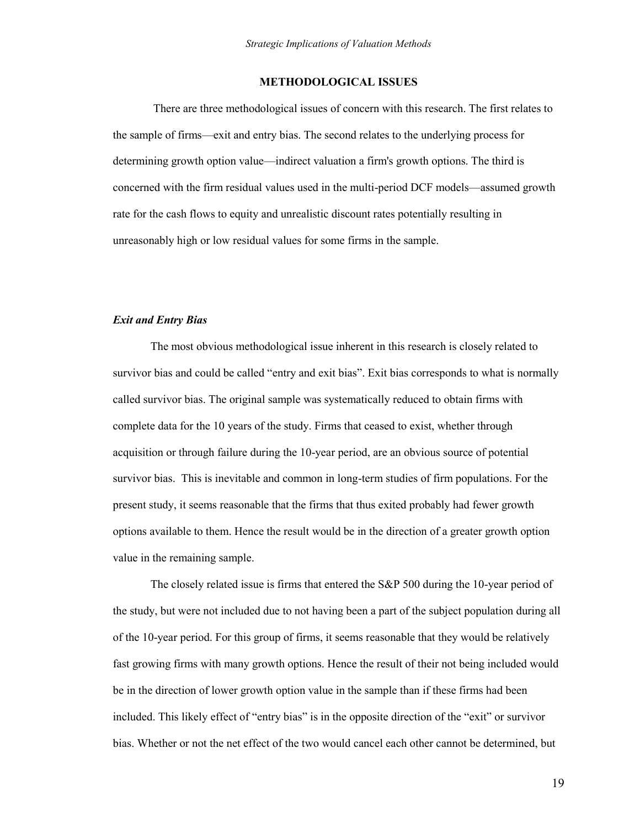## **METHODOLOGICAL ISSUES**

 There are three methodological issues of concern with this research. The first relates to the sample of firms—exit and entry bias. The second relates to the underlying process for determining growth option value—indirect valuation a firm's growth options. The third is concerned with the firm residual values used in the multi-period DCF models—assumed growth rate for the cash flows to equity and unrealistic discount rates potentially resulting in unreasonably high or low residual values for some firms in the sample.

#### *Exit and Entry Bias*

The most obvious methodological issue inherent in this research is closely related to survivor bias and could be called "entry and exit bias". Exit bias corresponds to what is normally called survivor bias. The original sample was systematically reduced to obtain firms with complete data for the 10 years of the study. Firms that ceased to exist, whether through acquisition or through failure during the 10-year period, are an obvious source of potential survivor bias. This is inevitable and common in long-term studies of firm populations. For the present study, it seems reasonable that the firms that thus exited probably had fewer growth options available to them. Hence the result would be in the direction of a greater growth option value in the remaining sample.

The closely related issue is firms that entered the S&P 500 during the 10-year period of the study, but were not included due to not having been a part of the subject population during all of the 10-year period. For this group of firms, it seems reasonable that they would be relatively fast growing firms with many growth options. Hence the result of their not being included would be in the direction of lower growth option value in the sample than if these firms had been included. This likely effect of "entry bias" is in the opposite direction of the "exit" or survivor bias. Whether or not the net effect of the two would cancel each other cannot be determined, but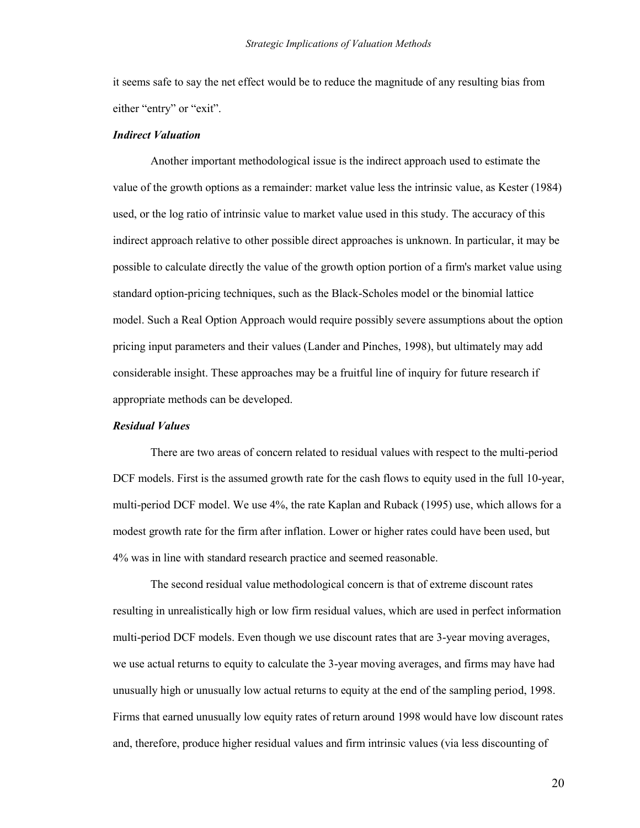it seems safe to say the net effect would be to reduce the magnitude of any resulting bias from either "entry" or "exit".

#### *Indirect Valuation*

Another important methodological issue is the indirect approach used to estimate the value of the growth options as a remainder: market value less the intrinsic value, as Kester (1984) used, or the log ratio of intrinsic value to market value used in this study. The accuracy of this indirect approach relative to other possible direct approaches is unknown. In particular, it may be possible to calculate directly the value of the growth option portion of a firm's market value using standard option-pricing techniques, such as the Black-Scholes model or the binomial lattice model. Such a Real Option Approach would require possibly severe assumptions about the option pricing input parameters and their values (Lander and Pinches, 1998), but ultimately may add considerable insight. These approaches may be a fruitful line of inquiry for future research if appropriate methods can be developed.

## *Residual Values*

There are two areas of concern related to residual values with respect to the multi-period DCF models. First is the assumed growth rate for the cash flows to equity used in the full 10-year, multi-period DCF model. We use 4%, the rate Kaplan and Ruback (1995) use, which allows for a modest growth rate for the firm after inflation. Lower or higher rates could have been used, but 4% was in line with standard research practice and seemed reasonable.

The second residual value methodological concern is that of extreme discount rates resulting in unrealistically high or low firm residual values, which are used in perfect information multi-period DCF models. Even though we use discount rates that are 3-year moving averages, we use actual returns to equity to calculate the 3-year moving averages, and firms may have had unusually high or unusually low actual returns to equity at the end of the sampling period, 1998. Firms that earned unusually low equity rates of return around 1998 would have low discount rates and, therefore, produce higher residual values and firm intrinsic values (via less discounting of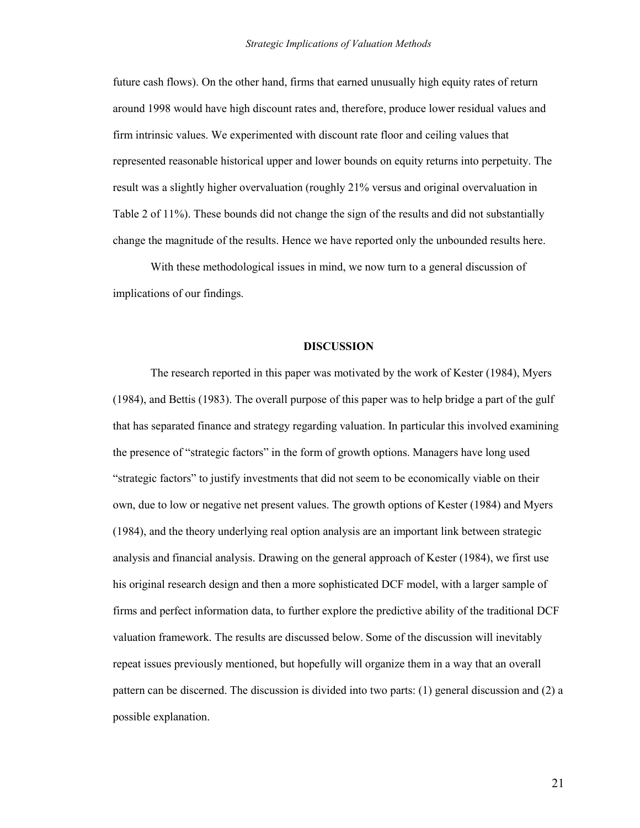future cash flows). On the other hand, firms that earned unusually high equity rates of return around 1998 would have high discount rates and, therefore, produce lower residual values and firm intrinsic values. We experimented with discount rate floor and ceiling values that represented reasonable historical upper and lower bounds on equity returns into perpetuity. The result was a slightly higher overvaluation (roughly 21% versus and original overvaluation in Table 2 of 11%). These bounds did not change the sign of the results and did not substantially change the magnitude of the results. Hence we have reported only the unbounded results here.

With these methodological issues in mind, we now turn to a general discussion of implications of our findings.

### **DISCUSSION**

The research reported in this paper was motivated by the work of Kester (1984), Myers (1984), and Bettis (1983). The overall purpose of this paper was to help bridge a part of the gulf that has separated finance and strategy regarding valuation. In particular this involved examining the presence of "strategic factors" in the form of growth options. Managers have long used ―strategic factors‖ to justify investments that did not seem to be economically viable on their own, due to low or negative net present values. The growth options of Kester (1984) and Myers (1984), and the theory underlying real option analysis are an important link between strategic analysis and financial analysis. Drawing on the general approach of Kester (1984), we first use his original research design and then a more sophisticated DCF model, with a larger sample of firms and perfect information data, to further explore the predictive ability of the traditional DCF valuation framework. The results are discussed below. Some of the discussion will inevitably repeat issues previously mentioned, but hopefully will organize them in a way that an overall pattern can be discerned. The discussion is divided into two parts: (1) general discussion and (2) a possible explanation.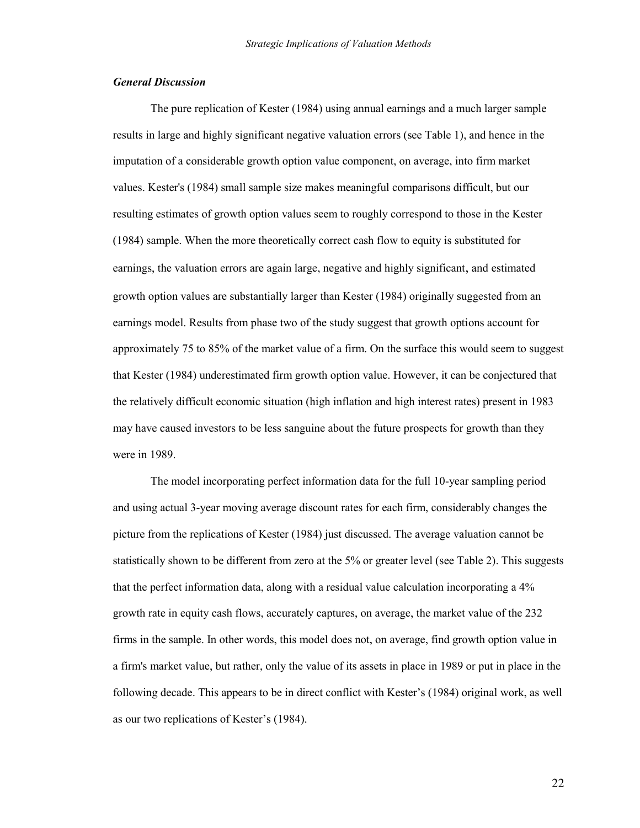## *General Discussion*

The pure replication of Kester (1984) using annual earnings and a much larger sample results in large and highly significant negative valuation errors (see Table 1), and hence in the imputation of a considerable growth option value component, on average, into firm market values. Kester's (1984) small sample size makes meaningful comparisons difficult, but our resulting estimates of growth option values seem to roughly correspond to those in the Kester (1984) sample. When the more theoretically correct cash flow to equity is substituted for earnings, the valuation errors are again large, negative and highly significant, and estimated growth option values are substantially larger than Kester (1984) originally suggested from an earnings model. Results from phase two of the study suggest that growth options account for approximately 75 to 85% of the market value of a firm. On the surface this would seem to suggest that Kester (1984) underestimated firm growth option value. However, it can be conjectured that the relatively difficult economic situation (high inflation and high interest rates) present in 1983 may have caused investors to be less sanguine about the future prospects for growth than they were in 1989.

The model incorporating perfect information data for the full 10-year sampling period and using actual 3-year moving average discount rates for each firm, considerably changes the picture from the replications of Kester (1984) just discussed. The average valuation cannot be statistically shown to be different from zero at the 5% or greater level (see Table 2). This suggests that the perfect information data, along with a residual value calculation incorporating a 4% growth rate in equity cash flows, accurately captures, on average, the market value of the 232 firms in the sample. In other words, this model does not, on average, find growth option value in a firm's market value, but rather, only the value of its assets in place in 1989 or put in place in the following decade. This appears to be in direct conflict with Kester's (1984) original work, as well as our two replications of Kester's (1984).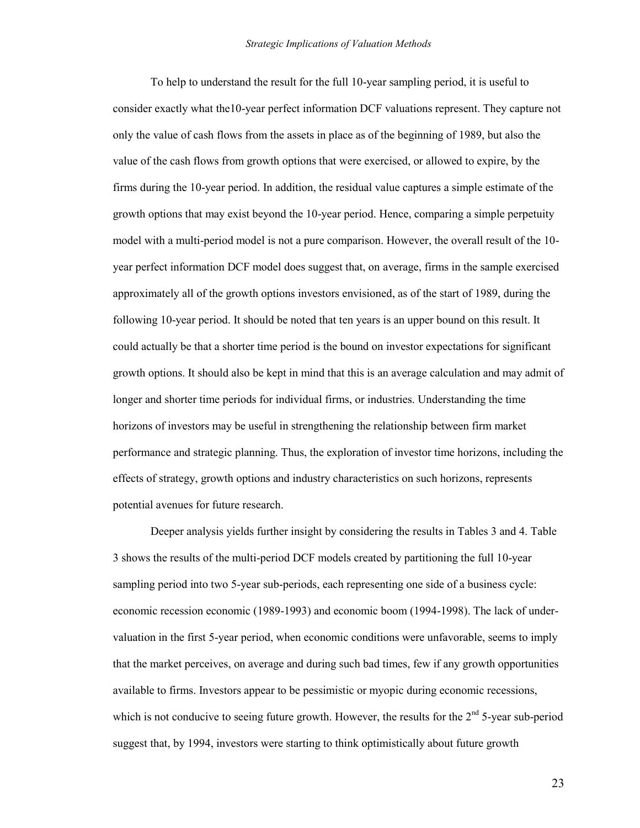To help to understand the result for the full 10-year sampling period, it is useful to consider exactly what the10-year perfect information DCF valuations represent. They capture not only the value of cash flows from the assets in place as of the beginning of 1989, but also the value of the cash flows from growth options that were exercised, or allowed to expire, by the firms during the 10-year period. In addition, the residual value captures a simple estimate of the growth options that may exist beyond the 10-year period. Hence, comparing a simple perpetuity model with a multi-period model is not a pure comparison. However, the overall result of the 10 year perfect information DCF model does suggest that, on average, firms in the sample exercised approximately all of the growth options investors envisioned, as of the start of 1989, during the following 10-year period. It should be noted that ten years is an upper bound on this result. It could actually be that a shorter time period is the bound on investor expectations for significant growth options. It should also be kept in mind that this is an average calculation and may admit of longer and shorter time periods for individual firms, or industries. Understanding the time horizons of investors may be useful in strengthening the relationship between firm market performance and strategic planning. Thus, the exploration of investor time horizons, including the effects of strategy, growth options and industry characteristics on such horizons, represents potential avenues for future research.

Deeper analysis yields further insight by considering the results in Tables 3 and 4. Table 3 shows the results of the multi-period DCF models created by partitioning the full 10-year sampling period into two 5-year sub-periods, each representing one side of a business cycle: economic recession economic (1989-1993) and economic boom (1994-1998). The lack of undervaluation in the first 5-year period, when economic conditions were unfavorable, seems to imply that the market perceives, on average and during such bad times, few if any growth opportunities available to firms. Investors appear to be pessimistic or myopic during economic recessions, which is not conducive to seeing future growth. However, the results for the  $2<sup>nd</sup> 5$ -year sub-period suggest that, by 1994, investors were starting to think optimistically about future growth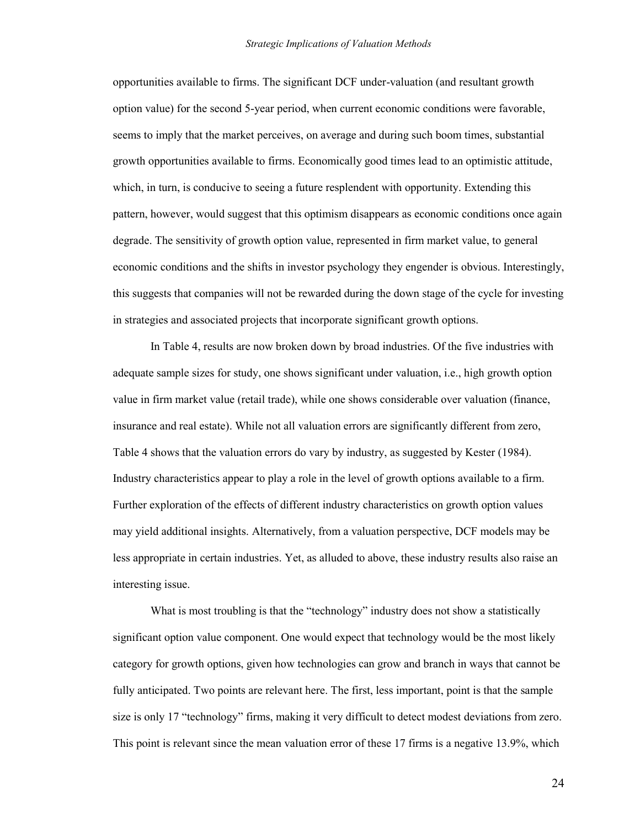opportunities available to firms. The significant DCF under-valuation (and resultant growth option value) for the second 5-year period, when current economic conditions were favorable, seems to imply that the market perceives, on average and during such boom times, substantial growth opportunities available to firms. Economically good times lead to an optimistic attitude, which, in turn, is conducive to seeing a future resplendent with opportunity. Extending this pattern, however, would suggest that this optimism disappears as economic conditions once again degrade. The sensitivity of growth option value, represented in firm market value, to general economic conditions and the shifts in investor psychology they engender is obvious. Interestingly, this suggests that companies will not be rewarded during the down stage of the cycle for investing in strategies and associated projects that incorporate significant growth options.

In Table 4, results are now broken down by broad industries. Of the five industries with adequate sample sizes for study, one shows significant under valuation, i.e., high growth option value in firm market value (retail trade), while one shows considerable over valuation (finance, insurance and real estate). While not all valuation errors are significantly different from zero, Table 4 shows that the valuation errors do vary by industry, as suggested by Kester (1984). Industry characteristics appear to play a role in the level of growth options available to a firm. Further exploration of the effects of different industry characteristics on growth option values may yield additional insights. Alternatively, from a valuation perspective, DCF models may be less appropriate in certain industries. Yet, as alluded to above, these industry results also raise an interesting issue.

What is most troubling is that the "technology" industry does not show a statistically significant option value component. One would expect that technology would be the most likely category for growth options, given how technologies can grow and branch in ways that cannot be fully anticipated. Two points are relevant here. The first, less important, point is that the sample size is only 17 "technology" firms, making it very difficult to detect modest deviations from zero. This point is relevant since the mean valuation error of these 17 firms is a negative 13.9%, which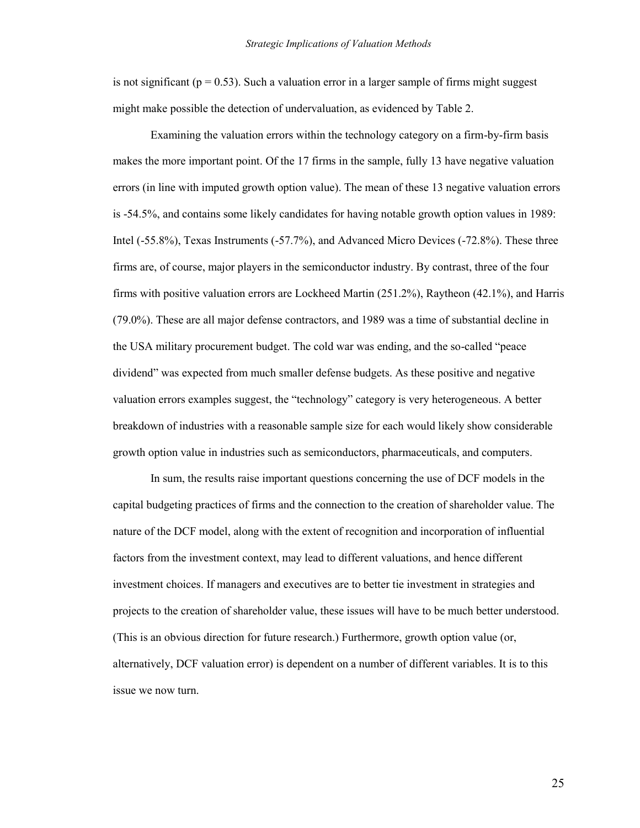is not significant ( $p = 0.53$ ). Such a valuation error in a larger sample of firms might suggest might make possible the detection of undervaluation, as evidenced by Table 2.

Examining the valuation errors within the technology category on a firm-by-firm basis makes the more important point. Of the 17 firms in the sample, fully 13 have negative valuation errors (in line with imputed growth option value). The mean of these 13 negative valuation errors is -54.5%, and contains some likely candidates for having notable growth option values in 1989: Intel (-55.8%), Texas Instruments (-57.7%), and Advanced Micro Devices (-72.8%). These three firms are, of course, major players in the semiconductor industry. By contrast, three of the four firms with positive valuation errors are Lockheed Martin (251.2%), Raytheon (42.1%), and Harris (79.0%). These are all major defense contractors, and 1989 was a time of substantial decline in the USA military procurement budget. The cold war was ending, and the so-called "peace" dividend" was expected from much smaller defense budgets. As these positive and negative valuation errors examples suggest, the "technology" category is very heterogeneous. A better breakdown of industries with a reasonable sample size for each would likely show considerable growth option value in industries such as semiconductors, pharmaceuticals, and computers.

In sum, the results raise important questions concerning the use of DCF models in the capital budgeting practices of firms and the connection to the creation of shareholder value. The nature of the DCF model, along with the extent of recognition and incorporation of influential factors from the investment context, may lead to different valuations, and hence different investment choices. If managers and executives are to better tie investment in strategies and projects to the creation of shareholder value, these issues will have to be much better understood. (This is an obvious direction for future research.) Furthermore, growth option value (or, alternatively, DCF valuation error) is dependent on a number of different variables. It is to this issue we now turn.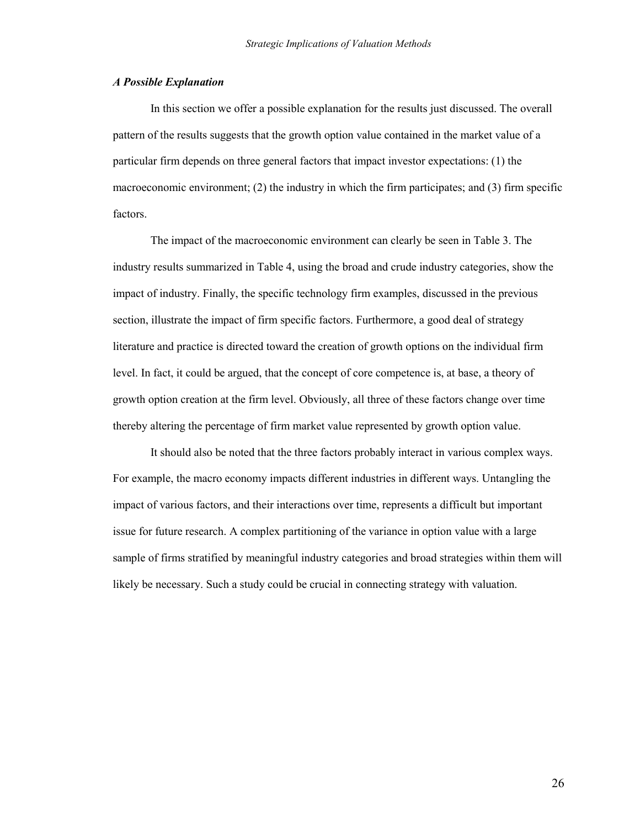## *A Possible Explanation*

In this section we offer a possible explanation for the results just discussed. The overall pattern of the results suggests that the growth option value contained in the market value of a particular firm depends on three general factors that impact investor expectations: (1) the macroeconomic environment; (2) the industry in which the firm participates; and (3) firm specific factors.

The impact of the macroeconomic environment can clearly be seen in Table 3. The industry results summarized in Table 4, using the broad and crude industry categories, show the impact of industry. Finally, the specific technology firm examples, discussed in the previous section, illustrate the impact of firm specific factors. Furthermore, a good deal of strategy literature and practice is directed toward the creation of growth options on the individual firm level. In fact, it could be argued, that the concept of core competence is, at base, a theory of growth option creation at the firm level. Obviously, all three of these factors change over time thereby altering the percentage of firm market value represented by growth option value.

It should also be noted that the three factors probably interact in various complex ways. For example, the macro economy impacts different industries in different ways. Untangling the impact of various factors, and their interactions over time, represents a difficult but important issue for future research. A complex partitioning of the variance in option value with a large sample of firms stratified by meaningful industry categories and broad strategies within them will likely be necessary. Such a study could be crucial in connecting strategy with valuation.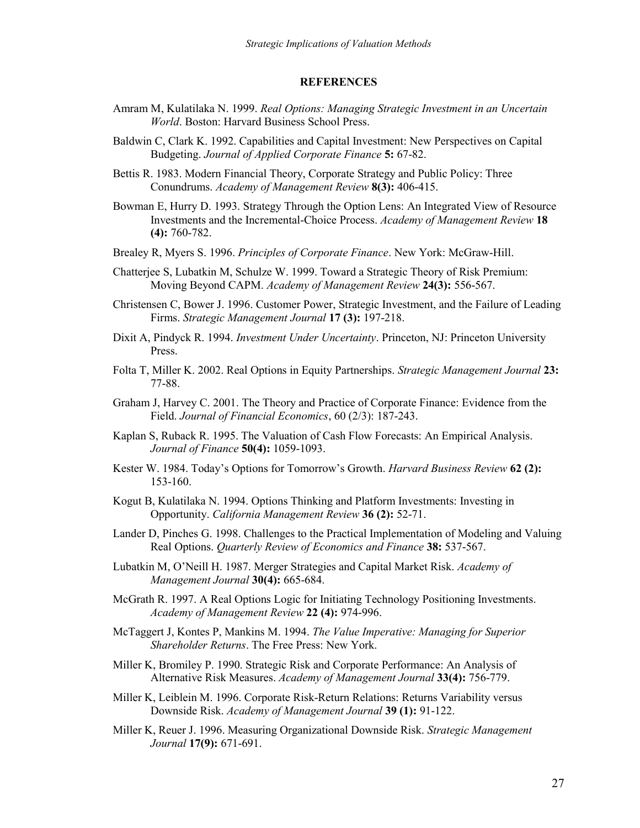#### **REFERENCES**

- Amram M, Kulatilaka N. 1999. *Real Options: Managing Strategic Investment in an Uncertain World*. Boston: Harvard Business School Press.
- Baldwin C, Clark K. 1992. Capabilities and Capital Investment: New Perspectives on Capital Budgeting. *Journal of Applied Corporate Finance* **5:** 67-82.
- Bettis R. 1983. Modern Financial Theory, Corporate Strategy and Public Policy: Three Conundrums. *Academy of Management Review* **8(3):** 406-415.
- Bowman E, Hurry D. 1993. Strategy Through the Option Lens: An Integrated View of Resource Investments and the Incremental-Choice Process. *Academy of Management Review* **18 (4):** 760-782.
- Brealey R, Myers S. 1996. *Principles of Corporate Finance*. New York: McGraw-Hill.
- Chatterjee S, Lubatkin M, Schulze W. 1999. Toward a Strategic Theory of Risk Premium: Moving Beyond CAPM. *Academy of Management Review* **24(3):** 556-567.
- Christensen C, Bower J. 1996. Customer Power, Strategic Investment, and the Failure of Leading Firms. *Strategic Management Journal* **17 (3):** 197-218.
- Dixit A, Pindyck R. 1994. *Investment Under Uncertainty*. Princeton, NJ: Princeton University Press.
- Folta T, Miller K. 2002. Real Options in Equity Partnerships. *Strategic Management Journal* **23:** 77-88.
- Graham J, Harvey C. 2001. The Theory and Practice of Corporate Finance: Evidence from the Field. *Journal of Financial Economics*, 60 (2/3): 187-243.
- Kaplan S, Ruback R. 1995. The Valuation of Cash Flow Forecasts: An Empirical Analysis. *Journal of Finance* **50(4):** 1059-1093.
- Kester W. 1984. Today's Options for Tomorrow's Growth. *Harvard Business Review* **62 (2):** 153-160.
- Kogut B, Kulatilaka N. 1994. Options Thinking and Platform Investments: Investing in Opportunity. *California Management Review* **36 (2):** 52-71.
- Lander D, Pinches G. 1998. Challenges to the Practical Implementation of Modeling and Valuing Real Options. *Quarterly Review of Economics and Finance* **38:** 537-567.
- Lubatkin M, O'Neill H. 1987. Merger Strategies and Capital Market Risk. *Academy of Management Journal* **30(4):** 665-684.
- McGrath R. 1997. A Real Options Logic for Initiating Technology Positioning Investments. *Academy of Management Review* **22 (4):** 974-996.
- McTaggert J, Kontes P, Mankins M. 1994. *The Value Imperative: Managing for Superior Shareholder Returns*. The Free Press: New York.
- Miller K, Bromiley P. 1990. Strategic Risk and Corporate Performance: An Analysis of Alternative Risk Measures. *Academy of Management Journal* **33(4):** 756-779.
- Miller K, Leiblein M. 1996. Corporate Risk-Return Relations: Returns Variability versus Downside Risk. *Academy of Management Journal* **39 (1):** 91-122.
- Miller K, Reuer J. 1996. Measuring Organizational Downside Risk. *Strategic Management Journal* **17(9):** 671-691.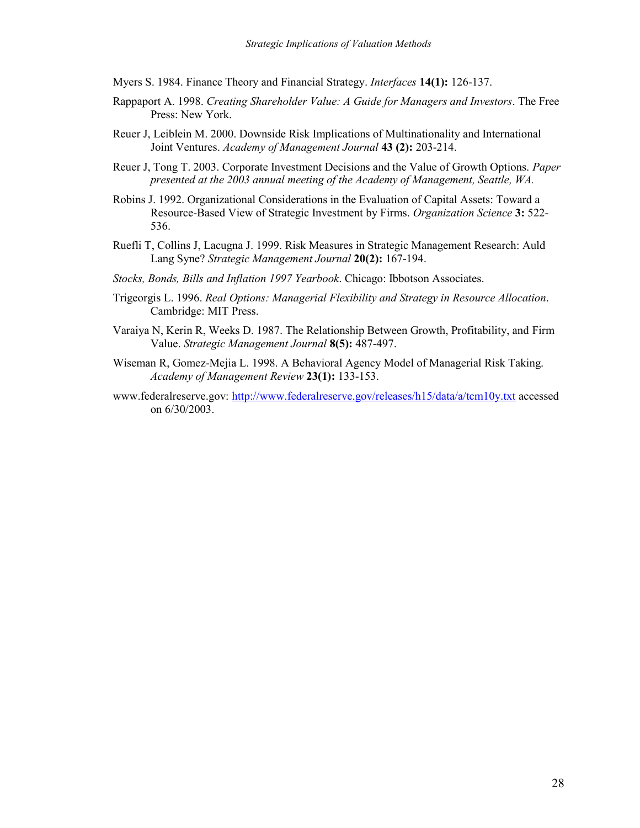Myers S. 1984. Finance Theory and Financial Strategy. *Interfaces* **14(1):** 126-137.

- Rappaport A. 1998. *Creating Shareholder Value: A Guide for Managers and Investors*. The Free Press: New York.
- Reuer J, Leiblein M. 2000. Downside Risk Implications of Multinationality and International Joint Ventures. *Academy of Management Journal* **43 (2):** 203-214.
- Reuer J, Tong T. 2003. Corporate Investment Decisions and the Value of Growth Options. *Paper presented at the 2003 annual meeting of the Academy of Management, Seattle, WA.*
- Robins J. 1992. Organizational Considerations in the Evaluation of Capital Assets: Toward a Resource-Based View of Strategic Investment by Firms. *Organization Science* **3:** 522- 536.
- Ruefli T, Collins J, Lacugna J. 1999. Risk Measures in Strategic Management Research: Auld Lang Syne? *Strategic Management Journal* **20(2):** 167-194.
- *Stocks, Bonds, Bills and Inflation 1997 Yearbook*. Chicago: Ibbotson Associates.
- Trigeorgis L. 1996. *Real Options: Managerial Flexibility and Strategy in Resource Allocation*. Cambridge: MIT Press.
- Varaiya N, Kerin R, Weeks D. 1987. The Relationship Between Growth, Profitability, and Firm Value. *Strategic Management Journal* **8(5):** 487-497.
- Wiseman R, Gomez-Mejia L. 1998. A Behavioral Agency Model of Managerial Risk Taking. *Academy of Management Review* **23(1):** 133-153.
- www.federalreserve.gov:<http://www.federalreserve.gov/releases/h15/data/a/tcm10y.txt>accessed on 6/30/2003.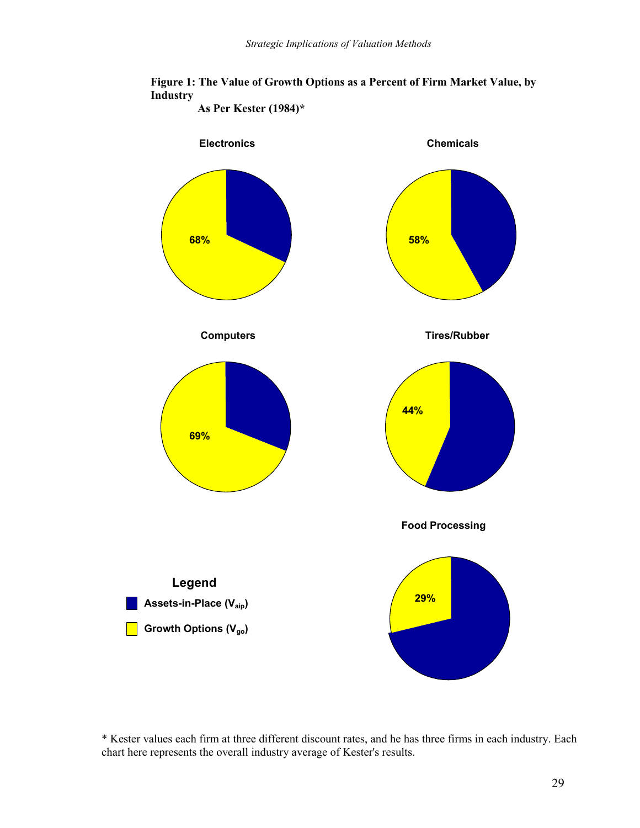



\* Kester values each firm at three different discount rates, and he has three firms in each industry. Each chart here represents the overall industry average of Kester's results.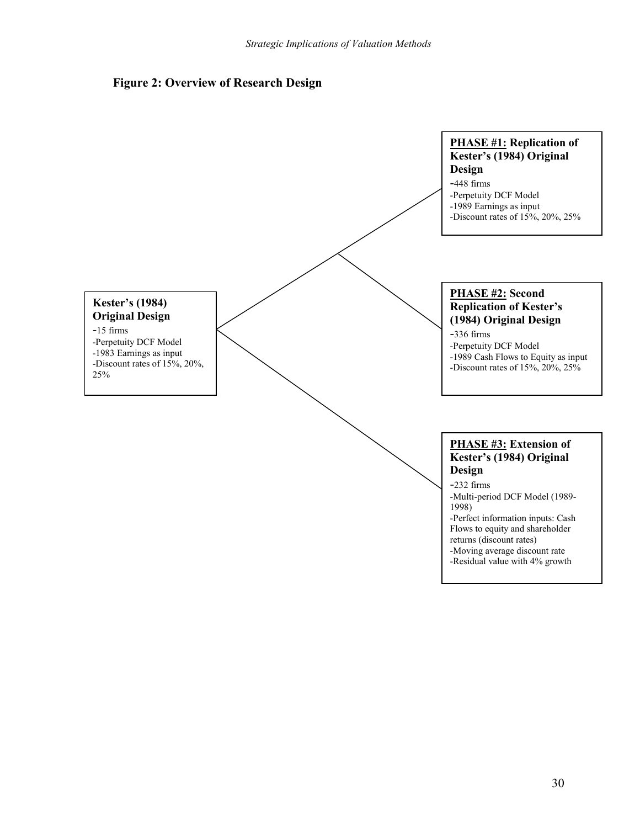

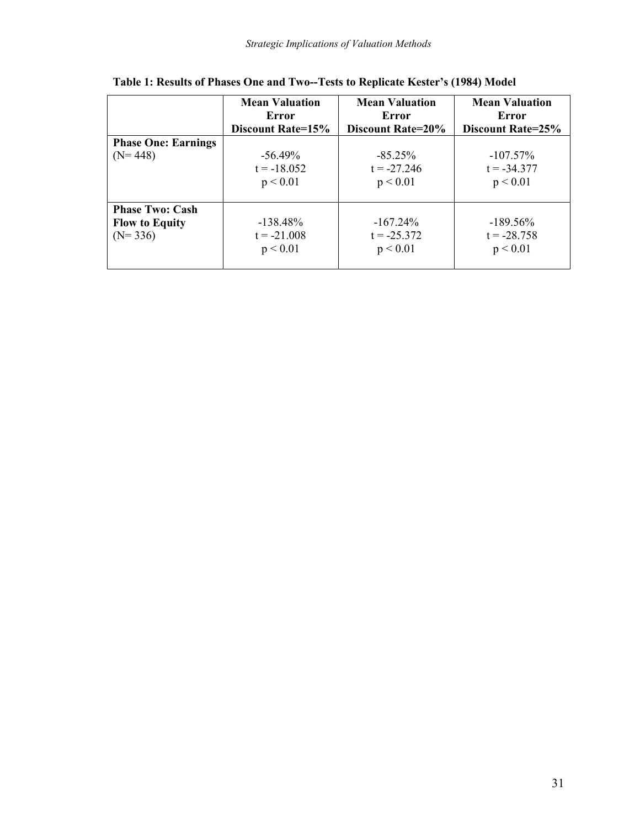|                            | <b>Mean Valuation</b><br>Error | <b>Mean Valuation</b><br>Error | <b>Mean Valuation</b><br>Error |
|----------------------------|--------------------------------|--------------------------------|--------------------------------|
|                            | Discount Rate=15%              | Discount Rate=20%              | Discount Rate=25%              |
| <b>Phase One: Earnings</b> |                                |                                |                                |
| $(N=448)$                  | $-56.49\%$                     | $-85.25\%$                     | $-107.57\%$                    |
|                            | $t = -18.052$                  | $t = -27.246$                  | $t = -34.377$                  |
|                            | p < 0.01                       | p < 0.01                       | p < 0.01                       |
|                            |                                |                                |                                |
| <b>Phase Two: Cash</b>     |                                |                                |                                |
| <b>Flow to Equity</b>      | $-138.48\%$                    | $-167.24\%$                    | $-189.56\%$                    |
| $(N=336)$                  | $t = -21.008$                  | $t = -25.372$                  | $t = -28.758$                  |
|                            | p < 0.01                       | p < 0.01                       | p < 0.01                       |
|                            |                                |                                |                                |

**Table 1: Results of Phases One and Two--Tests to Replicate Kester's (1984) Model**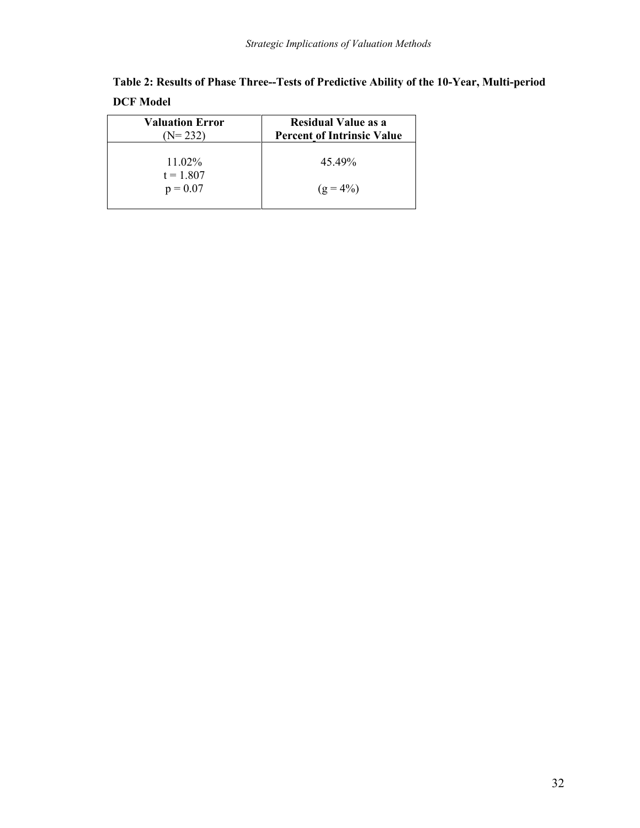|                  | Table 2: Results of Phase Three--Tests of Predictive Ability of the 10-Year, Multi-period |  |
|------------------|-------------------------------------------------------------------------------------------|--|
| <b>DCF Model</b> |                                                                                           |  |

| <b>Valuation Error</b><br>$(N=232)$ | <b>Residual Value as a</b><br><b>Percent of Intrinsic Value</b> |
|-------------------------------------|-----------------------------------------------------------------|
| $11.02\%$<br>$t = 1.807$            | 4549%                                                           |
| $p = 0.07$                          | $(g = 4\%)$                                                     |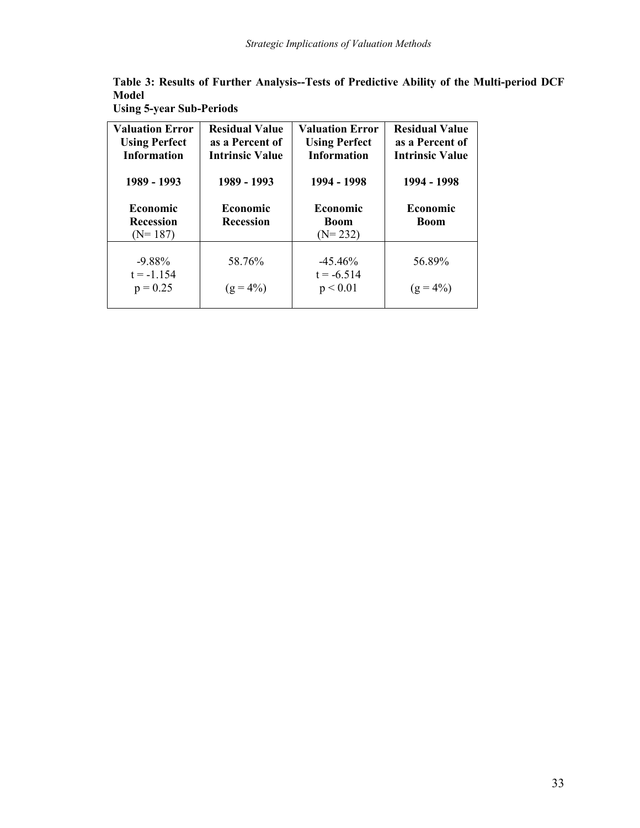|       |  |  | Table 3: Results of Further Analysis--Tests of Predictive Ability of the Multi-period DCF |
|-------|--|--|-------------------------------------------------------------------------------------------|
| Model |  |  |                                                                                           |

| <b>Valuation Error</b><br><b>Using Perfect</b><br><b>Information</b><br>1989 - 1993 | <b>Residual Value</b><br>as a Percent of<br><b>Intrinsic Value</b><br>1989 - 1993 | <b>Valuation Error</b><br><b>Using Perfect</b><br><b>Information</b><br>1994 - 1998 | <b>Residual Value</b><br>as a Percent of<br><b>Intrinsic Value</b><br>1994 - 1998 |
|-------------------------------------------------------------------------------------|-----------------------------------------------------------------------------------|-------------------------------------------------------------------------------------|-----------------------------------------------------------------------------------|
| <b>Economic</b><br><b>Recession</b><br>$(N=187)$                                    | <b>Economic</b><br><b>Recession</b>                                               | <b>Economic</b><br><b>Boom</b><br>$(N=232)$                                         | <b>Economic</b><br><b>Boom</b>                                                    |
| $-9.88\%$<br>$t = -1.154$<br>$p = 0.25$                                             | 58.76%<br>$(g = 4\%)$                                                             | $-45.46\%$<br>$t = -6.514$<br>p < 0.01                                              | 56.89%<br>$(g = 4\%)$                                                             |

**Using 5-year Sub-Periods**